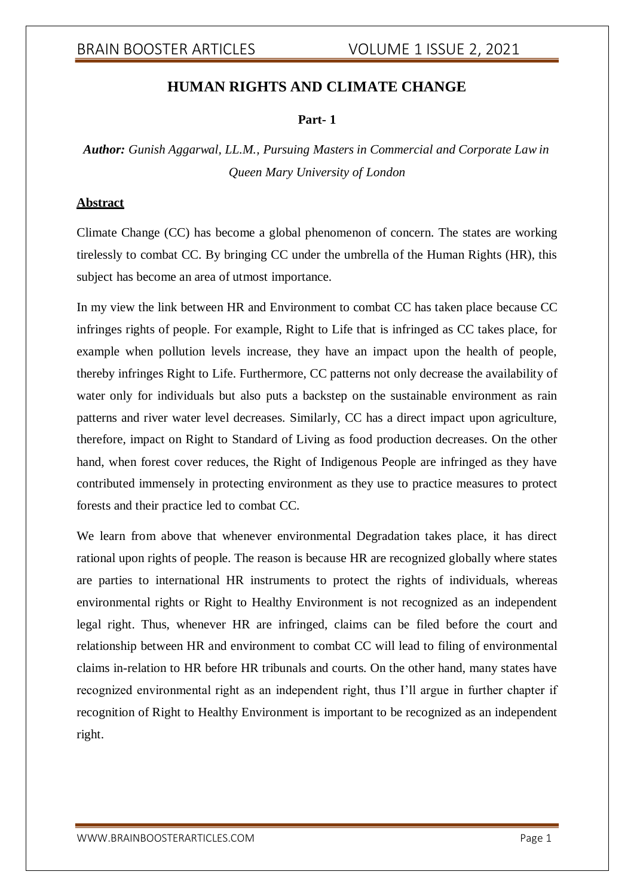## **HUMAN RIGHTS AND CLIMATE CHANGE**

### **Part- 1**

*Author: Gunish Aggarwal, LL.M., Pursuing Masters in Commercial and Corporate Law in Queen Mary University of London*

## **Abstract**

Climate Change (CC) has become a global phenomenon of concern. The states are working tirelessly to combat CC. By bringing CC under the umbrella of the Human Rights (HR), this subject has become an area of utmost importance.

In my view the link between HR and Environment to combat CC has taken place because CC infringes rights of people. For example, Right to Life that is infringed as CC takes place, for example when pollution levels increase, they have an impact upon the health of people, thereby infringes Right to Life. Furthermore, CC patterns not only decrease the availability of water only for individuals but also puts a backstep on the sustainable environment as rain patterns and river water level decreases. Similarly, CC has a direct impact upon agriculture, therefore, impact on Right to Standard of Living as food production decreases. On the other hand, when forest cover reduces, the Right of Indigenous People are infringed as they have contributed immensely in protecting environment as they use to practice measures to protect forests and their practice led to combat CC.

We learn from above that whenever environmental Degradation takes place, it has direct rational upon rights of people. The reason is because HR are recognized globally where states are parties to international HR instruments to protect the rights of individuals, whereas environmental rights or Right to Healthy Environment is not recognized as an independent legal right. Thus, whenever HR are infringed, claims can be filed before the court and relationship between HR and environment to combat CC will lead to filing of environmental claims in-relation to HR before HR tribunals and courts. On the other hand, many states have recognized environmental right as an independent right, thus I'll argue in further chapter if recognition of Right to Healthy Environment is important to be recognized as an independent right.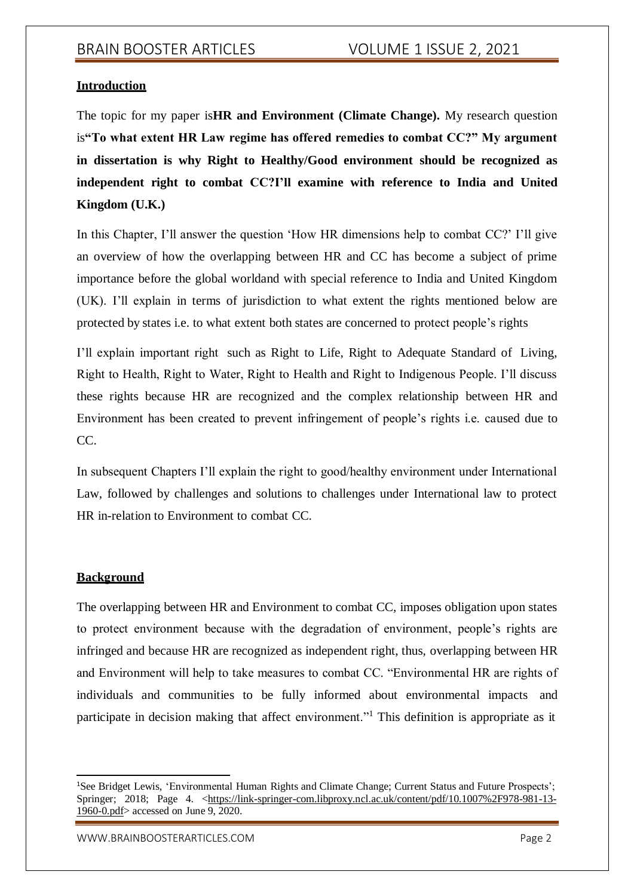## **Introduction**

The topic for my paper is**HR and Environment (Climate Change).** My research question is**"To what extent HR Law regime has offered remedies to combat CC?" My argument in dissertation is why Right to Healthy/Good environment should be recognized as independent right to combat CC?I'll examine with reference to India and United Kingdom (U.K.)**

In this Chapter, I'll answer the question 'How HR dimensions help to combat CC?' I'll give an overview of how the overlapping between HR and CC has become a subject of prime importance before the global worldand with special reference to India and United Kingdom (UK). I'll explain in terms of jurisdiction to what extent the rights mentioned below are protected by states i.e. to what extent both states are concerned to protect people's rights

I'll explain important right such as Right to Life, Right to Adequate Standard of Living, Right to Health, Right to Water, Right to Health and Right to Indigenous People. I'll discuss these rights because HR are recognized and the complex relationship between HR and Environment has been created to prevent infringement of people's rights i.e. caused due to CC.

In subsequent Chapters I'll explain the right to good/healthy environment under International Law, followed by challenges and solutions to challenges under International law to protect HR in-relation to Environment to combat CC.

## **Background**

The overlapping between HR and Environment to combat CC, imposes obligation upon states to protect environment because with the degradation of environment, people's rights are infringed and because HR are recognized as independent right, thus, overlapping between HR and Environment will help to take measures to combat CC. "Environmental HR are rights of individuals and communities to be fully informed about environmental impacts and participate in decision making that affect environment."<sup>1</sup> This definition is appropriate as it

<sup>1</sup>See Bridget Lewis, 'Environmental Human Rights and Climate Change; Current Status and Future Prospects'; Springer; 2018; Page 4. [<https://link-springer-com.libproxy.ncl.ac.uk/content/pdf/10.1007%2F978-981-13-](https://link-springer-com.libproxy.ncl.ac.uk/content/pdf/10.1007%2F978-981-13-1960-0.pdf) [1960-0.pdf>](https://link-springer-com.libproxy.ncl.ac.uk/content/pdf/10.1007%2F978-981-13-1960-0.pdf) accessed on June 9, 2020.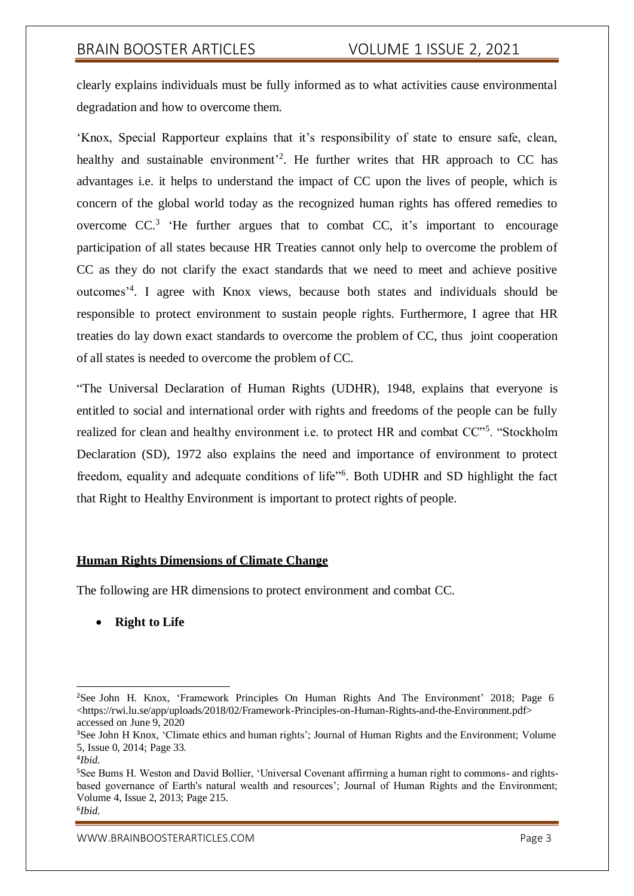clearly explains individuals must be fully informed as to what activities cause environmental degradation and how to overcome them.

'Knox, Special Rapporteur explains that it's responsibility of state to ensure safe, clean, healthy and sustainable environment<sup>2</sup>. He further writes that HR approach to CC has advantages i.e. it helps to understand the impact of CC upon the lives of people, which is concern of the global world today as the recognized human rights has offered remedies to overcome  $CC^3$  'He further argues that to combat  $CC$ , it's important to encourage participation of all states because HR Treaties cannot only help to overcome the problem of CC as they do not clarify the exact standards that we need to meet and achieve positive outcomes'<sup>4</sup> . I agree with Knox views, because both states and individuals should be responsible to protect environment to sustain people rights. Furthermore, I agree that HR treaties do lay down exact standards to overcome the problem of CC, thus joint cooperation of all states is needed to overcome the problem of CC.

"The Universal Declaration of Human Rights (UDHR), 1948, explains that everyone is entitled to social and international order with rights and freedoms of the people can be fully realized for clean and healthy environment i.e. to protect HR and combat CC"<sup>5</sup>. "Stockholm Declaration (SD), 1972 also explains the need and importance of environment to protect freedom, equality and adequate conditions of life"<sup>6</sup>. Both UDHR and SD highlight the fact that Right to Healthy Environment is important to protect rights of people.

#### **Human Rights Dimensions of Climate Change**

The following are HR dimensions to protect environment and combat CC.

**Right to Life**

<sup>&</sup>lt;sup>2</sup>See John H. Knox, 'Framework Principles On Human Rights And The Environment' 2018; Page 6 <https://rwi.lu.se/app/uploads/2018/02/Framework-Principles-on-Human-Rights-and-the-Environment.pdf> accessed on June 9, 2020

<sup>3</sup>See John H Knox, 'Climate ethics and human rights'; Journal of Human Rights and the Environment; Volume 5, Issue 0, 2014; Page 33.

<sup>4</sup> *Ibid*.

<sup>5</sup>See Bums H. Weston and David Bollier, 'Universal Covenant affirming a human right to commons- and rightsbased governance of Earth's natural wealth and resources'; Journal of Human Rights and the Environment; Volume 4, Issue 2, 2013; Page 215. 6 *Ibid*.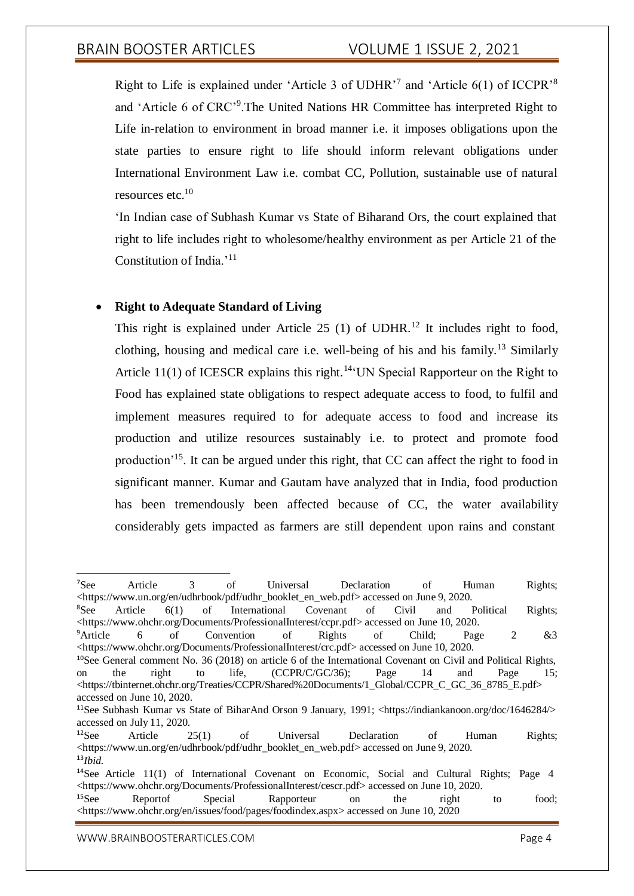Right to Life is explained under 'Article 3 of UDHR'<sup>7</sup> and 'Article  $6(1)$  of ICCPR'<sup>8</sup> and 'Article 6 of CRC'<sup>9</sup>. The United Nations HR Committee has interpreted Right to Life in-relation to environment in broad manner i.e. it imposes obligations upon the state parties to ensure right to life should inform relevant obligations under International Environment Law i.e. combat CC, Pollution, sustainable use of natural resources etc.<sup>10</sup>

'In Indian case of Subhash Kumar vs State of Biharand Ors, the court explained that right to life includes right to wholesome/healthy environment as per Article 21 of the Constitution of India.'<sup>11</sup>

## **Right to Adequate Standard of Living**

This right is explained under Article  $25$  (1) of UDHR.<sup>12</sup> It includes right to food, clothing, housing and medical care i.e. well-being of his and his family.<sup>13</sup> Similarly Article 11(1) of ICESCR explains this right.<sup>14</sup><sup>t</sup>UN Special Rapporteur on the Right to Food has explained state obligations to respect adequate access to food, to fulfil and implement measures required to for adequate access to food and increase its production and utilize resources sustainably i.e. to protect and promote food production'<sup>15</sup>. It can be argued under this right, that CC can affect the right to food in significant manner. Kumar and Gautam have analyzed that in India, food production has been tremendously been affected because of CC, the water availability considerably gets impacted as farmers are still dependent upon rains and constant

<sup>7</sup>See Article 3 of Universal Declaration of Human Rights; <https:/[/www.un.org/en/udhrbook/pdf/udhr\\_booklet\\_en\\_web.pdf>](http://www.un.org/en/udhrbook/pdf/udhr_booklet_en_web.pdf) accessed on June 9, 2020.

<sup>8</sup>See Article 6(1) of International Covenant of Civil and Political Rights; <https:/[/www.ohchr.org/Documents/ProfessionalInterest/ccpr.pdf>](http://www.ohchr.org/Documents/ProfessionalInterest/ccpr.pdf) accessed on June 10, 2020.

<sup>&</sup>lt;sup>9</sup>Article 6 of Convention of Rights of Child; Page 2 &3 <https:/[/www.ohchr.org/Documents/ProfessionalInterest/crc.pdf>](http://www.ohchr.org/Documents/ProfessionalInterest/crc.pdf) accessed on June 10, 2020.

<sup>&</sup>lt;sup>10</sup>See General comment No. 36 (2018) on article 6 of the International Covenant on Civil and Political Rights, on the right to life, (CCPR/C/GC/36); Page 14 and Page 15; <https://tbinternet.ohchr.org/Treaties/CCPR/Shared%20Documents/1\_Global/CCPR\_C\_GC\_36\_8785\_E.pdf> accessed on June 10, 2020.

<sup>&</sup>lt;sup>11</sup>See Subhash Kumar vs State of BiharAnd Orson 9 January, 1991; <https://indiankanoon.org/doc/1646284/> accessed on July 11, 2020.

 $12$ See Article 25(1) of Universal Declaration of Human Rights; <https:/[/www.un.org/en/udhrbook/pdf/udhr\\_booklet\\_en\\_web.pdf>](http://www.un.org/en/udhrbook/pdf/udhr_booklet_en_web.pdf) accessed on June 9, 2020. <sup>13</sup>*Ibid*.

<sup>&</sup>lt;sup>14</sup>See Article 11(1) of International Covenant on Economic, Social and Cultural Rights; Page 4 <https:/[/www.ohchr.org/Documents/ProfessionalInterest/cescr.pdf>](http://www.ohchr.org/Documents/ProfessionalInterest/cescr.pdf) accessed on June 10, 2020.

<sup>&</sup>lt;sup>15</sup>See Reportof Special Rapporteur on the right to food; <https:/[/www.ohchr.org/en/issues/food/pages/foodindex.aspx>](http://www.ohchr.org/en/issues/food/pages/foodindex.aspx) accessed on June 10, 2020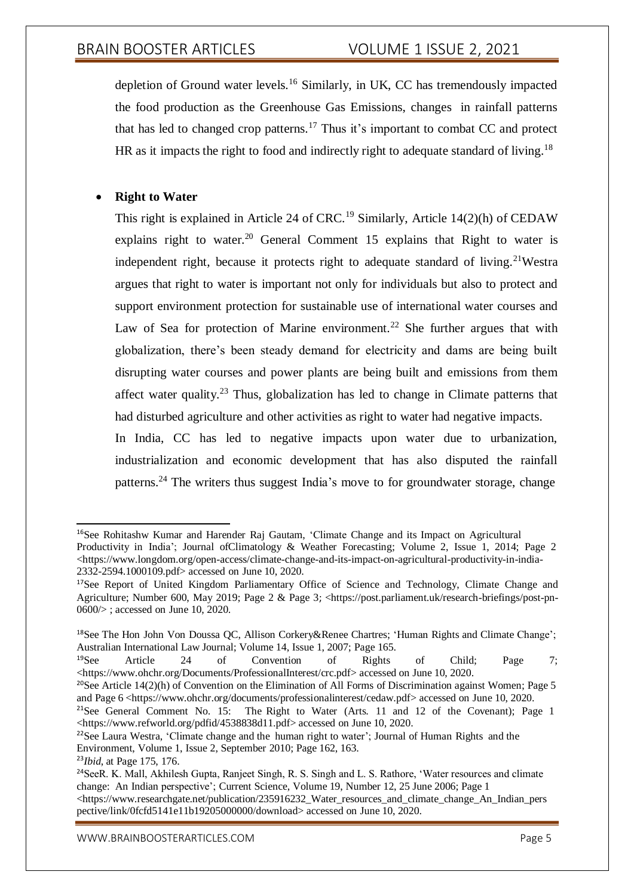depletion of Ground water levels.<sup>16</sup> Similarly, in UK, CC has tremendously impacted the food production as the Greenhouse Gas Emissions, changes in rainfall patterns that has led to changed crop patterns.<sup>17</sup> Thus it's important to combat CC and protect HR as it impacts the right to food and indirectly right to adequate standard of living.<sup>18</sup>

## **Right to Water**

This right is explained in Article 24 of CRC.<sup>19</sup> Similarly, Article 14(2)(h) of CEDAW explains right to water.<sup>20</sup> General Comment 15 explains that Right to water is independent right, because it protects right to adequate standard of living.<sup>21</sup>Westra argues that right to water is important not only for individuals but also to protect and support environment protection for sustainable use of international water courses and Law of Sea for protection of Marine environment.<sup>22</sup> She further argues that with globalization, there's been steady demand for electricity and dams are being built disrupting water courses and power plants are being built and emissions from them affect water quality.<sup>23</sup> Thus, globalization has led to change in Climate patterns that had disturbed agriculture and other activities as right to water had negative impacts.

In India, CC has led to negative impacts upon water due to urbanization, industrialization and economic development that has also disputed the rainfall patterns.<sup>24</sup> The writers thus suggest India's move to for groundwater storage, change

<sup>22</sup>See Laura Westra, 'Climate change and the human right to water'; Journal of Human Rights and the Environment, Volume 1, Issue 2, September 2010; Page 162, 163.

<sup>&</sup>lt;sup>16</sup>See Rohitashw Kumar and Harender Raj Gautam, 'Climate Change and its Impact on Agricultural Productivity in India'; Journal ofClimatology & Weather Forecasting; Volume 2, Issue 1, 2014; Page 2  $\langle$ https:/[/www.longdom.org/open-access/climate-change-and-its-impact-on-agricultural-productivity-in-india-](http://www.longdom.org/open-access/climate-change-and-its-impact-on-agricultural-productivity-in-india-)2332-2594.1000109.pdf> accessed on June 10, 2020.

<sup>&</sup>lt;sup>17</sup>See Report of United Kingdom Parliamentary Office of Science and Technology, Climate Change and Agriculture; Number 600, May 2019; Page 2 & Page 3; <https://post.parliament.uk/research-briefings/post-pn-0600/> ; accessed on June 10, 2020.

<sup>18</sup>See The Hon John Von Doussa QC, Allison Corkery&Renee Chartres; 'Human Rights and Climate Change'; Australian International Law Journal; Volume 14, Issue 1, 2007; Page 165.

<sup>&</sup>lt;sup>19</sup>See Article 24 of Convention of Rights of Child; Page 7; <https:/[/www.ohchr.org/Documents/ProfessionalInterest/crc.pdf>](http://www.ohchr.org/Documents/ProfessionalInterest/crc.pdf) accessed on June 10, 2020.

<sup>&</sup>lt;sup>20</sup>See Article 14(2)(h) of Convention on the Elimination of All Forms of Discrimination against Women; Page 5 and Page 6 <https:/[/www.ohchr.org/documents/professionalinterest/cedaw.pdf>](http://www.ohchr.org/documents/professionalinterest/cedaw.pdf) accessed on June 10, 2020.

<sup>&</sup>lt;sup>21</sup>See General Comment No. 15: The Right to Water (Arts. 11 and 12 of the Covenant); Page 1 <https:/[/www.refworld.org/pdfid/4538838d11.pdf>](http://www.refworld.org/pdfid/4538838d11.pdf) accessed on June 10, 2020.

<sup>23</sup>*Ibid*, at Page 175, 176.

<sup>&</sup>lt;sup>24</sup>SeeR. K. Mall, Akhilesh Gupta, Ranjeet Singh, R. S. Singh and L. S. Rathore, 'Water resources and climate change: An Indian perspective'; Current Science, Volume 19, Number 12, 25 June 2006; Page 1  $\lt$ https:/[/www.researchgate.net/publication/235916232\\_Water\\_resources\\_and\\_climate\\_change\\_An\\_Indian\\_pers](http://www.researchgate.net/publication/235916232_Water_resources_and_climate_change_An_Indian_pers) pective/link/0fcfd5141e11b19205000000/download> accessed on June 10, 2020.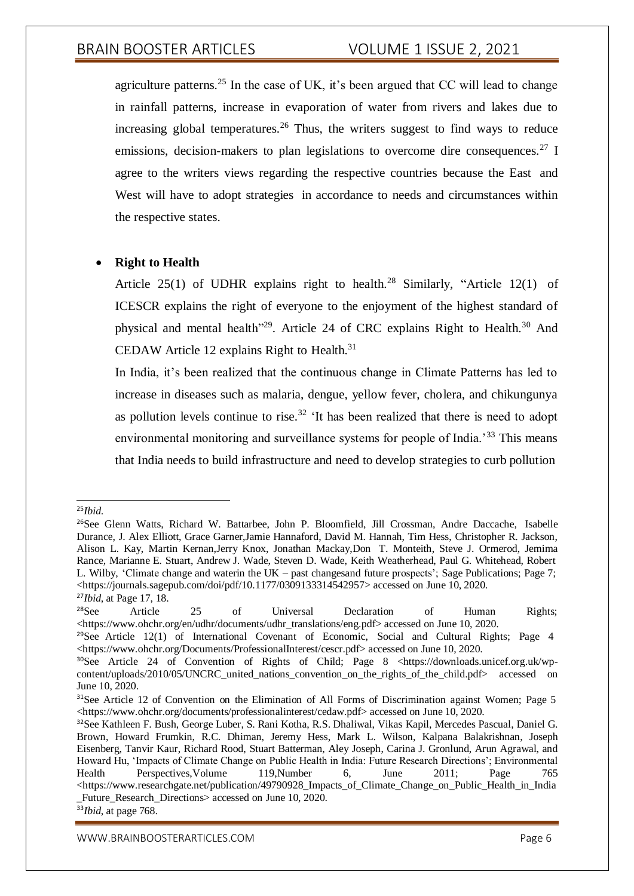agriculture patterns.<sup>25</sup> In the case of UK, it's been argued that CC will lead to change in rainfall patterns, increase in evaporation of water from rivers and lakes due to increasing global temperatures.<sup>26</sup> Thus, the writers suggest to find ways to reduce emissions, decision-makers to plan legislations to overcome dire consequences.<sup>27</sup> I agree to the writers views regarding the respective countries because the East and West will have to adopt strategies in accordance to needs and circumstances within the respective states.

## **Right to Health**

Article 25(1) of UDHR explains right to health.<sup>28</sup> Similarly, "Article 12(1) of ICESCR explains the right of everyone to the enjoyment of the highest standard of physical and mental health<sup>"29</sup>. Article 24 of CRC explains Right to Health.<sup>30</sup> And CEDAW Article 12 explains Right to Health.<sup>31</sup>

In India, it's been realized that the continuous change in Climate Patterns has led to increase in diseases such as malaria, dengue, yellow fever, cholera, and chikungunya as pollution levels continue to rise.<sup>32</sup>  $\cdot$ It has been realized that there is need to adopt environmental monitoring and surveillance systems for people of India.'<sup>33</sup> This means that India needs to build infrastructure and need to develop strategies to curb pollution

<sup>25</sup>*Ibid*.

<sup>26</sup>See Glenn Watts, Richard W. Battarbee, John P. Bloomfield, Jill Crossman, Andre Daccache, Isabelle Durance, J. Alex Elliott, Grace Garner,Jamie Hannaford, David M. Hannah, Tim Hess, Christopher R. Jackson, Alison L. Kay, Martin Kernan,Jerry Knox, Jonathan Mackay,Don T. Monteith, Steve J. Ormerod, Jemima Rance, Marianne E. Stuart, Andrew J. Wade, Steven D. Wade, Keith Weatherhead, Paul G. Whitehead, Robert L. Wilby, 'Climate change and waterin the UK – past changesand future prospects'; Sage Publications; Page 7; <https://journals.sagepub.com/doi/pdf/10.1177/0309133314542957> accessed on June 10, 2020. <sup>27</sup>*Ibid*, at Page 17, 18.

<sup>&</sup>lt;sup>28</sup>See Article 25 of Universal Declaration of Human Rights; <https:/[/www.ohchr.org/en/udhr/documents/udhr\\_translations/eng.pdf>](http://www.ohchr.org/en/udhr/documents/udhr_translations/eng.pdf) accessed on June 10, 2020.

<sup>&</sup>lt;sup>29</sup>See Article 12(1) of International Covenant of Economic, Social and Cultural Rights; Page 4 <https:/[/www.ohchr.org/Documents/ProfessionalInterest/cescr.pdf>](http://www.ohchr.org/Documents/ProfessionalInterest/cescr.pdf) accessed on June 10, 2020.

<sup>&</sup>lt;sup>30</sup>See Article 24 of Convention of Rights of Child; Page 8 <https://downloads.unicef.org.uk/wpcontent/uploads/2010/05/UNCRC\_united\_nations\_convention\_on\_the\_rights\_of\_the\_child.pdf> accessed on June 10, 2020.

<sup>&</sup>lt;sup>31</sup>See Article 12 of Convention on the Elimination of All Forms of Discrimination against Women; Page 5 <https:/[/www.ohchr.org/documents/professionalinterest/cedaw.pdf>](http://www.ohchr.org/documents/professionalinterest/cedaw.pdf) accessed on June 10, 2020.

<sup>32</sup>See Kathleen F. Bush, George Luber, S. Rani Kotha, R.S. Dhaliwal, Vikas Kapil, Mercedes Pascual, Daniel G. Brown, Howard Frumkin, R.C. Dhiman, Jeremy Hess, Mark L. Wilson, Kalpana Balakrishnan, Joseph Eisenberg, Tanvir Kaur, Richard Rood, Stuart Batterman, Aley Joseph, Carina J. Gronlund, Arun Agrawal, and Howard Hu, 'Impacts of Climate Change on Public Health in India: Future Research Directions'; Environmental Health Perspectives,Volume 119,Number 6, June 2011; Page 765 <https:/[/www.researchgate.net/publication/49790928\\_Impacts\\_of\\_Climate\\_Change\\_on\\_Public\\_Health\\_in\\_India](http://www.researchgate.net/publication/49790928_Impacts_of_Climate_Change_on_Public_Health_in_India) \_Future\_Research\_Directions> accessed on June 10, 2020. <sup>33</sup>*Ibid*, at page 768.

[WWW.BRAINBOOSTERARTICLES.COM](http://www.brainboosterarticles.com/) **Page 6**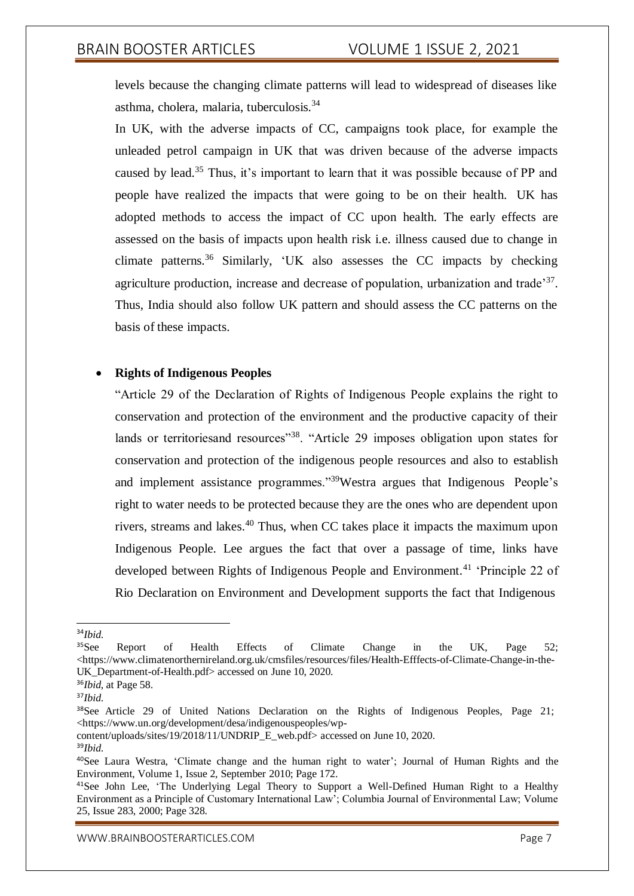levels because the changing climate patterns will lead to widespread of diseases like asthma, cholera, malaria, tuberculosis.<sup>34</sup>

In UK, with the adverse impacts of CC, campaigns took place, for example the unleaded petrol campaign in UK that was driven because of the adverse impacts caused by lead.<sup>35</sup> Thus, it's important to learn that it was possible because of PP and people have realized the impacts that were going to be on their health. UK has adopted methods to access the impact of CC upon health. The early effects are assessed on the basis of impacts upon health risk i.e. illness caused due to change in climate patterns.<sup>36</sup> Similarly, 'UK also assesses the CC impacts by checking agriculture production, increase and decrease of population, urbanization and trade<sup>37</sup>. Thus, India should also follow UK pattern and should assess the CC patterns on the basis of these impacts.

### **Rights of Indigenous Peoples**

"Article 29 of the Declaration of Rights of Indigenous People explains the right to conservation and protection of the environment and the productive capacity of their lands or territories and resources<sup>"38</sup>. "Article 29 imposes obligation upon states for conservation and protection of the indigenous people resources and also to establish and implement assistance programmes."<sup>39</sup>Westra argues that Indigenous People's right to water needs to be protected because they are the ones who are dependent upon rivers, streams and lakes.<sup>40</sup> Thus, when CC takes place it impacts the maximum upon Indigenous People. Lee argues the fact that over a passage of time, links have developed between Rights of Indigenous People and Environment.<sup>41</sup> 'Principle 22 of Rio Declaration on Environment and Development supports the fact that Indigenous

<sup>34</sup>*Ibid*.

<sup>&</sup>lt;sup>35</sup>See Report of Health Effects of Climate Change in the UK, Page 52; <https:/[/www.climatenorthernireland.org.uk/cmsfiles/resources/files/Health-Efffects-of-Climate-Change-in-the-](http://www.climatenorthernireland.org.uk/cmsfiles/resources/files/Health-Efffects-of-Climate-Change-in-the-)UK Department-of-Health.pdf> accessed on June 10, 2020.

<sup>36</sup>*Ibid*, at Page 58.

<sup>37</sup>*Ibid*.

<sup>38</sup>See Article 29 of United Nations Declaration on the Rights of Indigenous Peoples, Page 21; <https:/[/www.un.org/development/desa/indigenouspeoples/wp-](http://www.un.org/development/desa/indigenouspeoples/wp-)

content/uploads/sites/19/2018/11/UNDRIP\_E\_web.pdf> accessed on June 10, 2020.

<sup>39</sup>*Ibid*.

<sup>40</sup>See Laura Westra, 'Climate change and the human right to water'; Journal of Human Rights and the Environment, Volume 1, Issue 2, September 2010; Page 172.

<sup>&</sup>lt;sup>41</sup>See John Lee, 'The Underlying Legal Theory to Support a Well-Defined Human Right to a Healthy Environment as a Principle of Customary International Law'; Columbia Journal of Environmental Law; Volume 25, Issue 283, 2000; Page 328.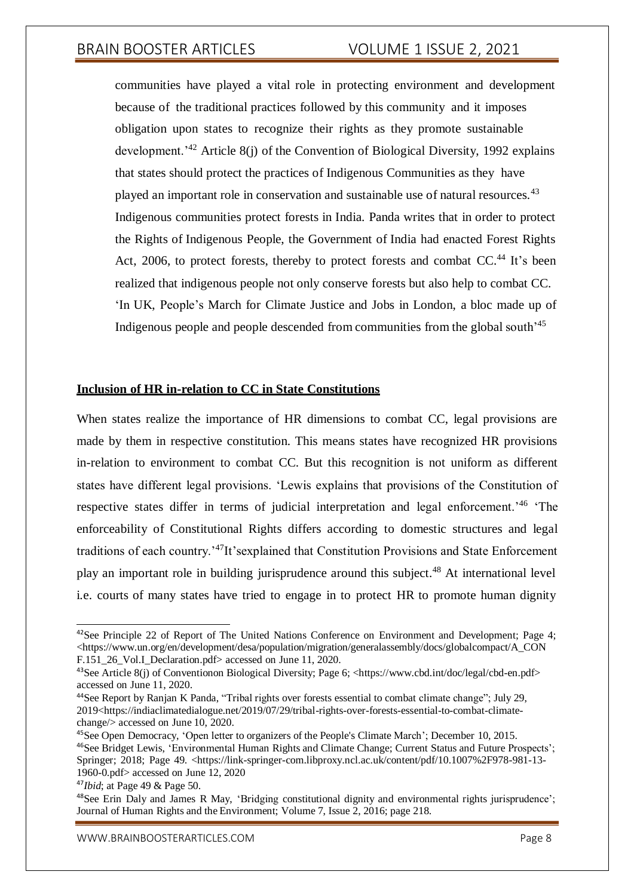communities have played a vital role in protecting environment and development because of the traditional practices followed by this community and it imposes obligation upon states to recognize their rights as they promote sustainable development.<sup> $342$ </sup> Article 8(j) of the Convention of Biological Diversity, 1992 explains that states should protect the practices of Indigenous Communities as they have played an important role in conservation and sustainable use of natural resources.<sup>43</sup> Indigenous communities protect forests in India. Panda writes that in order to protect the Rights of Indigenous People, the Government of India had enacted Forest Rights Act, 2006, to protect forests, thereby to protect forests and combat CC.<sup>44</sup> It's been realized that indigenous people not only conserve forests but also help to combat CC. 'In UK, People's March for Climate Justice and Jobs in London, a bloc made up of Indigenous people and people descended from communities from the global south'<sup>45</sup>

### **Inclusion of HR in-relation to CC in State Constitutions**

When states realize the importance of HR dimensions to combat CC, legal provisions are made by them in respective constitution. This means states have recognized HR provisions in-relation to environment to combat CC. But this recognition is not uniform as different states have different legal provisions. 'Lewis explains that provisions of the Constitution of respective states differ in terms of judicial interpretation and legal enforcement.'<sup>46</sup> 'The enforceability of Constitutional Rights differs according to domestic structures and legal traditions of each country.'<sup>47</sup>It'sexplained that Constitution Provisions and State Enforcement play an important role in building jurisprudence around this subject.<sup>48</sup> At international level i.e. courts of many states have tried to engage in to protect HR to promote human dignity

<sup>&</sup>lt;sup>42</sup>See Principle 22 of Report of The United Nations Conference on Environment and Development; Page 4;  $\langle$ https:/[/www.un.org/en/development/desa/population/migration/generalassembly/docs/globalcompact/A\\_CON](http://www.un.org/en/development/desa/population/migration/generalassembly/docs/globalcompact/A_CON) F.151\_26\_Vol.I\_Declaration.pdf> accessed on June 11, 2020.

<sup>43</sup>See Article 8(j) of Conventionon Biological Diversity; Page 6; <https:/[/www.cbd.int/doc/legal/cbd-en.pdf>](http://www.cbd.int/doc/legal/cbd-en.pdf) accessed on June 11, 2020.

<sup>44</sup>See Report by Ranjan K Panda, "Tribal rights over forests essential to combat climate change"; July 29, 2019<https://indiaclimatedialogue.net/2019/07/29/tribal-rights-over-forests-essential-to-combat-climatechange/> accessed on June 10, 2020.

<sup>45</sup>See Open Democracy, 'Open letter to organizers of the People's Climate March'; December 10, 2015. <sup>46</sup>See Bridget Lewis, 'Environmental Human Rights and Climate Change; Current Status and Future Prospects'; Springer; 2018; Page 49. <https://link-springer-com.libproxy.ncl.ac.uk/content/pdf/10.1007%2F978-981-13-1960-0.pdf> accessed on June 12, 2020

<sup>47</sup>*Ibid*; at Page 49 & Page 50.

<sup>&</sup>lt;sup>48</sup>See Erin Daly and James R May, 'Bridging constitutional dignity and environmental rights jurisprudence'; Journal of Human Rights and the Environment; Volume 7, Issue 2, 2016; page 218.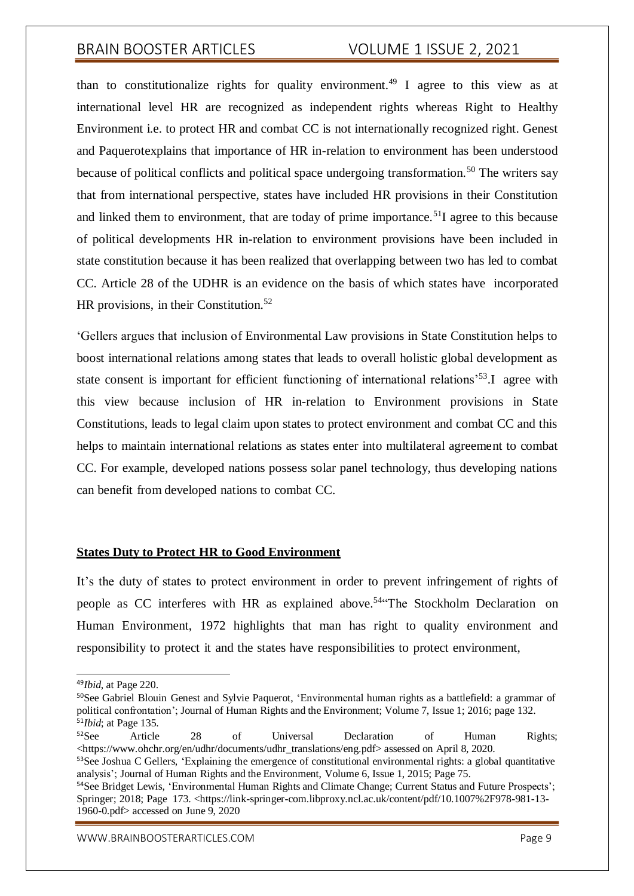than to constitutionalize rights for quality environment.<sup>49</sup> I agree to this view as at international level HR are recognized as independent rights whereas Right to Healthy Environment i.e. to protect HR and combat CC is not internationally recognized right. Genest and Paquerotexplains that importance of HR in-relation to environment has been understood because of political conflicts and political space undergoing transformation.<sup>50</sup> The writers say that from international perspective, states have included HR provisions in their Constitution and linked them to environment, that are today of prime importance.<sup>51</sup>I agree to this because of political developments HR in-relation to environment provisions have been included in state constitution because it has been realized that overlapping between two has led to combat CC. Article 28 of the UDHR is an evidence on the basis of which states have incorporated HR provisions, in their Constitution.<sup>52</sup>

'Gellers argues that inclusion of Environmental Law provisions in State Constitution helps to boost international relations among states that leads to overall holistic global development as state consent is important for efficient functioning of international relations'<sup>53</sup>.I agree with this view because inclusion of HR in-relation to Environment provisions in State Constitutions, leads to legal claim upon states to protect environment and combat CC and this helps to maintain international relations as states enter into multilateral agreement to combat CC. For example, developed nations possess solar panel technology, thus developing nations can benefit from developed nations to combat CC.

### **States Duty to Protect HR to Good Environment**

It's the duty of states to protect environment in order to prevent infringement of rights of people as CC interferes with HR as explained above.<sup>54</sup> The Stockholm Declaration on Human Environment, 1972 highlights that man has right to quality environment and responsibility to protect it and the states have responsibilities to protect environment,

<sup>52</sup>See Article 28 of Universal Declaration of Human Rights; <https:/[/www.ohchr.org/en/udhr/documents/udhr\\_translations/eng.pdf>](http://www.ohchr.org/en/udhr/documents/udhr_translations/eng.pdf) assessed on April 8, 2020. <sup>53</sup>See Joshua C Gellers, 'Explaining the emergence of constitutional environmental rights: a global quantitative

<sup>49</sup>*Ibid*, at Page 220.

<sup>&</sup>lt;sup>50</sup>See Gabriel Blouin Genest and Sylvie Paquerot, 'Environmental human rights as a battlefield: a grammar of political confrontation'; Journal of Human Rights and the Environment; Volume 7, Issue 1; 2016; page 132. <sup>51</sup>*Ibid*; at Page 135.

analysis'; Journal of Human Rights and the Environment, Volume 6, Issue 1, 2015; Page 75.

<sup>54</sup>See Bridget Lewis, 'Environmental Human Rights and Climate Change; Current Status and Future Prospects'; Springer; 2018; Page 173. <https://link-springer-com.libproxy.ncl.ac.uk/content/pdf/10.1007%2F978-981-13- 1960-0.pdf> accessed on June 9, 2020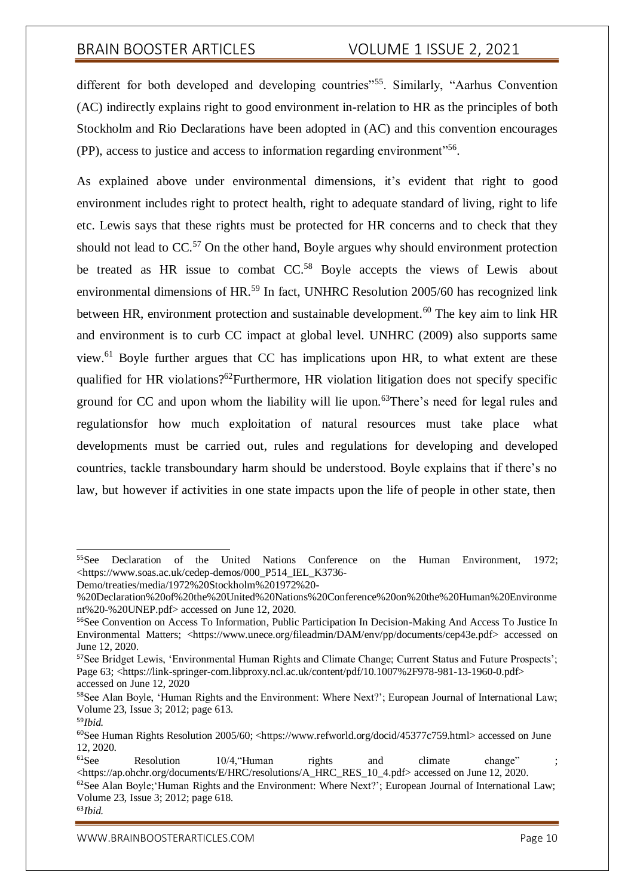different for both developed and developing countries<sup>55</sup>. Similarly, "Aarhus Convention (AC) indirectly explains right to good environment in-relation to HR as the principles of both Stockholm and Rio Declarations have been adopted in (AC) and this convention encourages (PP), access to justice and access to information regarding environment"<sup>56</sup>.

As explained above under environmental dimensions, it's evident that right to good environment includes right to protect health, right to adequate standard of living, right to life etc. Lewis says that these rights must be protected for HR concerns and to check that they should not lead to  $CC<sub>0</sub>$ <sup>57</sup> On the other hand, Boyle argues why should environment protection be treated as HR issue to combat CC.<sup>58</sup> Boyle accepts the views of Lewis about environmental dimensions of HR.<sup>59</sup> In fact, UNHRC Resolution 2005/60 has recognized link between HR, environment protection and sustainable development.<sup>60</sup> The key aim to link HR and environment is to curb CC impact at global level. UNHRC (2009) also supports same view.<sup>61</sup> Boyle further argues that CC has implications upon HR, to what extent are these qualified for HR violations?<sup>62</sup>Furthermore, HR violation litigation does not specify specific ground for CC and upon whom the liability will lie upon.<sup>63</sup>There's need for legal rules and regulationsfor how much exploitation of natural resources must take place what developments must be carried out, rules and regulations for developing and developed countries, tackle transboundary harm should be understood. Boyle explains that if there's no law, but however if activities in one state impacts upon the life of people in other state, then

<sup>55</sup>See Declaration of the United Nations Conference on the Human Environment, 1972; <https:/[/www.soas.ac.uk/cedep-demos/000\\_P514\\_IEL\\_K3736-](http://www.soas.ac.uk/cedep-demos/000_P514_IEL_K3736-)

Demo/treaties/media/1972%20Stockholm%201972%20-

<sup>%20</sup>Declaration%20of%20the%20United%20Nations%20Conference%20on%20the%20Human%20Environme nt%20-%20UNEP.pdf> accessed on June 12, 2020.

<sup>56</sup>See Convention on Access To Information, Public Participation In Decision-Making And Access To Justice In Environmental Matters; <https:/[/www.unece.org/fileadmin/DAM/env/pp/documents/cep43e.pdf>](http://www.unece.org/fileadmin/DAM/env/pp/documents/cep43e.pdf) accessed on June 12, 2020.

<sup>&</sup>lt;sup>57</sup>See Bridget Lewis, 'Environmental Human Rights and Climate Change; Current Status and Future Prospects'; Page 63; <https://link-springer-com.libproxy.ncl.ac.uk/content/pdf/10.1007%2F978-981-13-1960-0.pdf> accessed on June 12, 2020

<sup>58</sup>See Alan Boyle, 'Human Rights and the Environment: Where Next?'; European Journal of International Law; Volume 23, Issue 3; 2012; page 613.

<sup>59</sup>*Ibid.*

<sup>60</sup>See Human Rights Resolution 2005/60; <https:/[/www.refworld.org/docid/45377c759.html>](http://www.refworld.org/docid/45377c759.html) accessed on June 12, 2020.

 $61$ See Resolution  $10/4$ , Human rights and climate change" <https://ap.ohchr.org/documents/E/HRC/resolutions/A\_HRC\_RES\_10\_4.pdf> accessed on June 12, 2020.  $62$ See Alan Boyle; Human Rights and the Environment: Where Next?'; European Journal of International Law;

Volume 23, Issue 3; 2012; page 618.

<sup>63</sup>*Ibid.*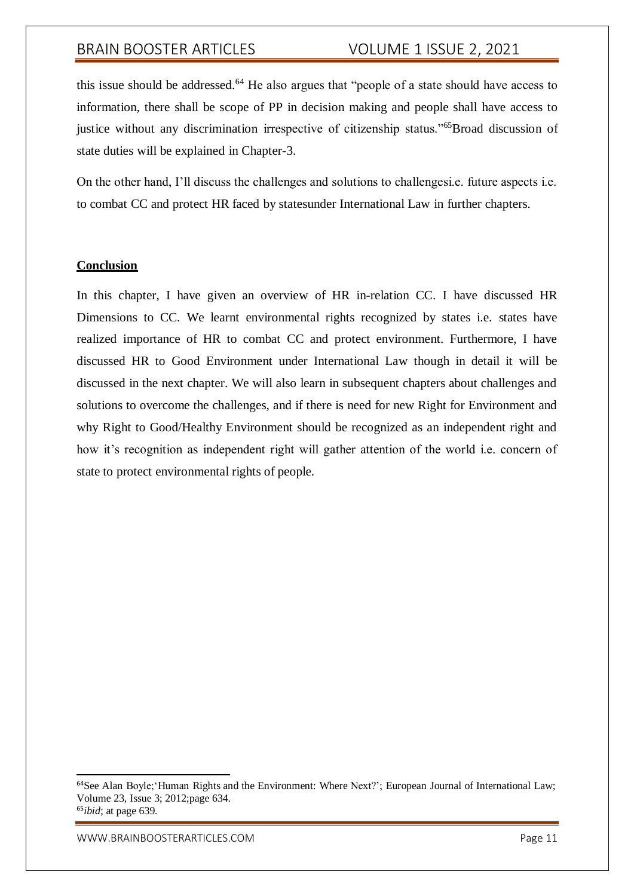this issue should be addressed.<sup>64</sup> He also argues that "people of a state should have access to information, there shall be scope of PP in decision making and people shall have access to justice without any discrimination irrespective of citizenship status."<sup>65</sup>Broad discussion of state duties will be explained in Chapter-3.

On the other hand, I'll discuss the challenges and solutions to challengesi.e. future aspects i.e. to combat CC and protect HR faced by statesunder International Law in further chapters.

### **Conclusion**

In this chapter, I have given an overview of HR in-relation CC. I have discussed HR Dimensions to CC. We learnt environmental rights recognized by states i.e. states have realized importance of HR to combat CC and protect environment. Furthermore, I have discussed HR to Good Environment under International Law though in detail it will be discussed in the next chapter. We will also learn in subsequent chapters about challenges and solutions to overcome the challenges, and if there is need for new Right for Environment and why Right to Good/Healthy Environment should be recognized as an independent right and how it's recognition as independent right will gather attention of the world i.e. concern of state to protect environmental rights of people.

<sup>64</sup>See Alan Boyle;'Human Rights and the Environment: Where Next?'; European Journal of International Law; Volume 23, Issue 3; 2012;page 634. <sup>65</sup>*ibid*; at page 639.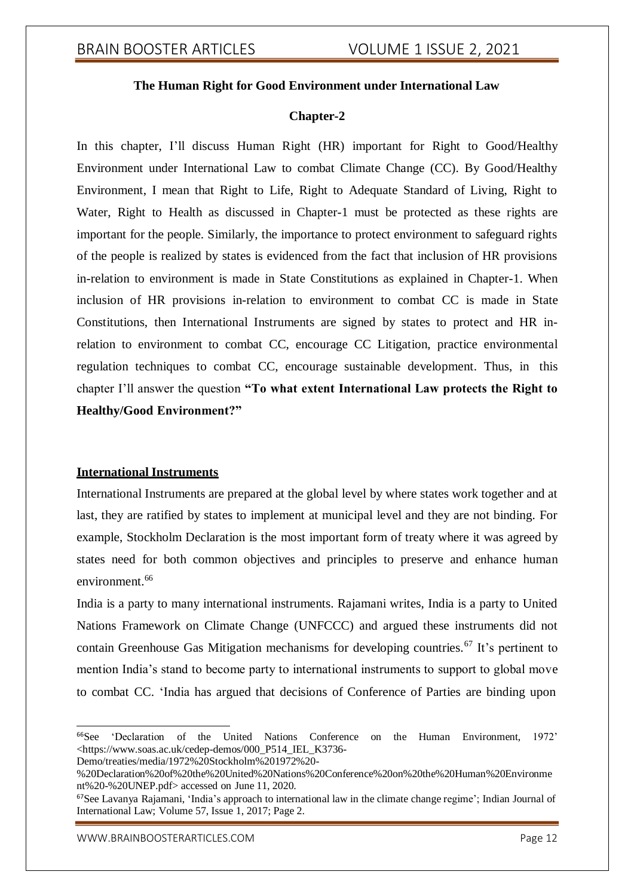### **The Human Right for Good Environment under International Law**

#### **Chapter-2**

In this chapter, I'll discuss Human Right (HR) important for Right to Good/Healthy Environment under International Law to combat Climate Change (CC). By Good/Healthy Environment, I mean that Right to Life, Right to Adequate Standard of Living, Right to Water, Right to Health as discussed in Chapter-1 must be protected as these rights are important for the people. Similarly, the importance to protect environment to safeguard rights of the people is realized by states is evidenced from the fact that inclusion of HR provisions in-relation to environment is made in State Constitutions as explained in Chapter-1. When inclusion of HR provisions in-relation to environment to combat CC is made in State Constitutions, then International Instruments are signed by states to protect and HR inrelation to environment to combat CC, encourage CC Litigation, practice environmental regulation techniques to combat CC, encourage sustainable development. Thus, in this chapter I'll answer the question **"To what extent International Law protects the Right to Healthy/Good Environment?"**

### **International Instruments**

International Instruments are prepared at the global level by where states work together and at last, they are ratified by states to implement at municipal level and they are not binding. For example, Stockholm Declaration is the most important form of treaty where it was agreed by states need for both common objectives and principles to preserve and enhance human environment.<sup>66</sup>

India is a party to many international instruments. Rajamani writes, India is a party to United Nations Framework on Climate Change (UNFCCC) and argued these instruments did not contain Greenhouse Gas Mitigation mechanisms for developing countries.<sup>67</sup> It's pertinent to mention India's stand to become party to international instruments to support to global move to combat CC. 'India has argued that decisions of Conference of Parties are binding upon

Demo/treaties/media/1972%20Stockholm%201972%20-

<sup>66</sup>See 'Declaration of the United Nations Conference on the Human Environment, 1972' <https:/[/www.soas.ac.uk/cedep-demos/000\\_P514\\_IEL\\_K3736-](http://www.soas.ac.uk/cedep-demos/000_P514_IEL_K3736-)

<sup>%20</sup>Declaration%20of%20the%20United%20Nations%20Conference%20on%20the%20Human%20Environme nt%20-%20UNEP.pdf> accessed on June 11, 2020.

<sup>67</sup>See Lavanya Rajamani, 'India's approach to international law in the climate change regime'; Indian Journal of International Law; Volume 57, Issue 1, 2017; Page 2.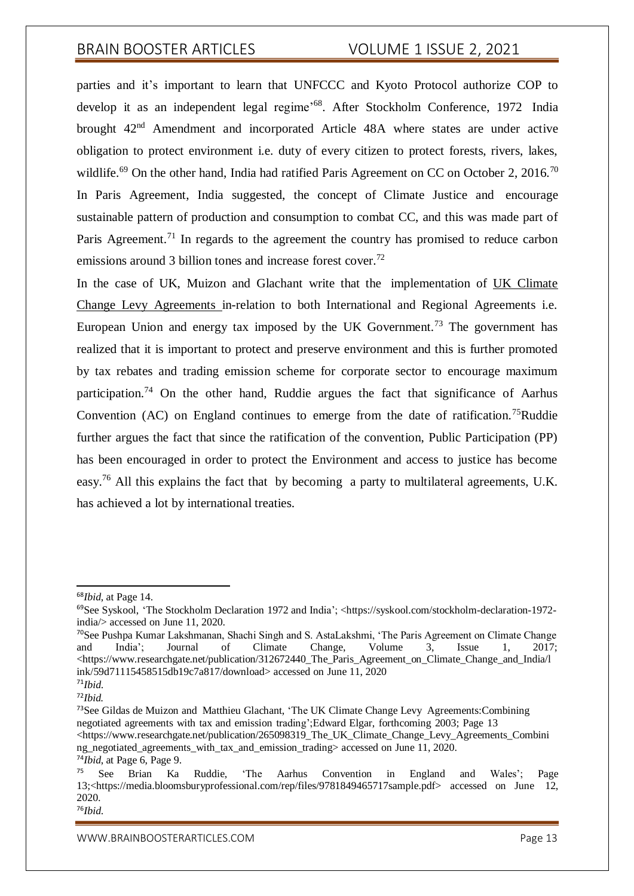parties and it's important to learn that UNFCCC and Kyoto Protocol authorize COP to develop it as an independent legal regime<sup>,68</sup>. After Stockholm Conference, 1972 India brought 42nd Amendment and incorporated Article 48A where states are under active obligation to protect environment i.e. duty of every citizen to protect forests, rivers, lakes, wildlife.<sup>69</sup> On the other hand, India had ratified Paris Agreement on CC on October 2, 2016.<sup>70</sup> In Paris Agreement, India suggested, the concept of Climate Justice and encourage sustainable pattern of production and consumption to combat CC, and this was made part of Paris Agreement.<sup>71</sup> In regards to the agreement the country has promised to reduce carbon emissions around 3 billion tones and increase forest cover.<sup>72</sup>

In the case of UK, Muizon and Glachant write that the implementation of UK Climate Change Levy Agreements in-relation to both International and Regional Agreements i.e. European Union and energy tax imposed by the UK Government.<sup>73</sup> The government has realized that it is important to protect and preserve environment and this is further promoted by tax rebates and trading emission scheme for corporate sector to encourage maximum participation.<sup>74</sup> On the other hand, Ruddie argues the fact that significance of Aarhus Convention  $(AC)$  on England continues to emerge from the date of ratification.<sup>75</sup>Ruddie further argues the fact that since the ratification of the convention, Public Participation (PP) has been encouraged in order to protect the Environment and access to justice has become easy.<sup>76</sup> All this explains the fact that by becoming a party to multilateral agreements, U.K. has achieved a lot by international treaties.

<sup>73</sup>See Gildas de Muizon and Matthieu Glachant, 'The UK Climate Change Levy Agreements:Combining negotiated agreements with tax and emission trading';Edward Elgar, forthcoming 2003; Page 13 <https:/[/www.researchgate.net/publication/265098319\\_The\\_UK\\_Climate\\_Change\\_Levy\\_Agreements\\_Combini](http://www.researchgate.net/publication/265098319_The_UK_Climate_Change_Levy_Agreements_Combini) ng negotiated agreements with tax and emission trading> accessed on June 11, 2020. <sup>74</sup>*Ibid*, at Page 6, Page 9.

76*Ibid*.

<sup>68</sup>*Ibid*, at Page 14.

<sup>69</sup>See Syskool, 'The Stockholm Declaration 1972 and India'; <https://syskool.com/stockholm-declaration-1972 india/> accessed on June 11, 2020.

<sup>70</sup>See Pushpa Kumar Lakshmanan, Shachi Singh and S. AstaLakshmi, 'The Paris Agreement on Climate Change and India'; Journal of Climate Change, Volume 3, Issue 1, 2017;  $\lt$ https://www.researchgate.net/publication/312672440 The Paris Agreement on Climate Change and India/l ink/59d71115458515db19c7a817/download> accessed on June 11, 2020

<sup>71</sup>*Ibid*. <sup>72</sup>*Ibid.*

<sup>75</sup> See Brian Ka Ruddie, 'The Aarhus Convention in England and Wales'; Page 13;<https://media.bloomsburyprofessional.com/rep/files/9781849465717sample.pdf> accessed on June 12, 2020.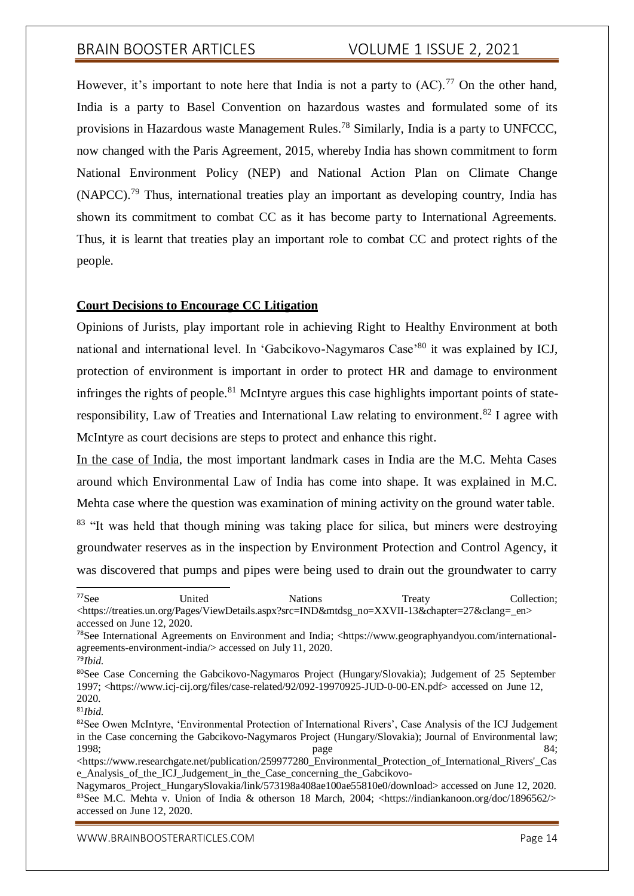However, it's important to note here that India is not a party to  $(AC)$ .<sup>77</sup> On the other hand, India is a party to Basel Convention on hazardous wastes and formulated some of its provisions in Hazardous waste Management Rules.<sup>78</sup> Similarly, India is a party to UNFCCC, now changed with the Paris Agreement, 2015, whereby India has shown commitment to form National Environment Policy (NEP) and National Action Plan on Climate Change  $(NAPCC)$ <sup>79</sup> Thus, international treaties play an important as developing country, India has shown its commitment to combat CC as it has become party to International Agreements. Thus, it is learnt that treaties play an important role to combat CC and protect rights of the people.

#### **Court Decisions to Encourage CC Litigation**

Opinions of Jurists, play important role in achieving Right to Healthy Environment at both national and international level. In 'Gabcikovo-Nagymaros Case'<sup>80</sup> it was explained by ICJ, protection of environment is important in order to protect HR and damage to environment infringes the rights of people.<sup>81</sup> McIntyre argues this case highlights important points of stateresponsibility, Law of Treaties and International Law relating to environment.<sup>82</sup> I agree with McIntyre as court decisions are steps to protect and enhance this right.

In the case of India, the most important landmark cases in India are the M.C. Mehta Cases around which Environmental Law of India has come into shape. It was explained in M.C. Mehta case where the question was examination of mining activity on the ground water table.

<sup>83</sup> "It was held that though mining was taking place for silica, but miners were destroying groundwater reserves as in the inspection by Environment Protection and Control Agency, it was discovered that pumps and pipes were being used to drain out the groundwater to carry

<sup>81</sup>*Ibid*.

<sup>&</sup>lt;sup>77</sup>See United Nations Treaty Collection; <https://treaties.un.org/Pages/ViewDetails.aspx?src=IND&mtdsg\_no=XXVII-13&chapter=27&clang=\_en> accessed on June 12, 2020.

<sup>78</sup>See International Agreements on Environment and India; <https:/[/www.geographyandyou.com/international](http://www.geographyandyou.com/international-)agreements-environment-india/> accessed on July 11, 2020.

<sup>79</sup>*Ibid*.

<sup>&</sup>lt;sup>80</sup>See Case Concerning the Gabcikovo-Nagymaros Project (Hungary/Slovakia); Judgement of 25 September 1997; <https:/[/www.icj-cij.org/files/case-related/92/092-19970925-JUD-0-00-EN.pdf>](http://www.icj-cij.org/files/case-related/92/092-19970925-JUD-0-00-EN.pdf) accessed on June 12, 2020.

<sup>82</sup>See Owen McIntyre, 'Environmental Protection of International Rivers', Case Analysis of the ICJ Judgement in the Case concerning the Gabcikovo-Nagymaros Project (Hungary/Slovakia); Journal of Environmental law; 1998; 1998; 1998; 1998; 1998; 1998; 1998; 1998; 1998; 1998; 1998; 1998; 1998; 1998

<sup>&</sup>lt;https:/[/www.researchgate.net/publication/259977280\\_Environmental\\_Protection\\_of\\_International\\_Rivers'\\_Cas](http://www.researchgate.net/publication/259977280_Environmental_Protection_of_International_Rivers%27_Cas) e\_Analysis\_of\_the\_ICJ\_Judgement\_in\_the\_Case\_concerning\_the\_Gabcikovo-

Nagymaros\_Project\_HungarySlovakia/link/573198a408ae100ae55810e0/download> accessed on June 12, 2020. <sup>83</sup>See M.C. Mehta v. Union of India & otherson 18 March, 2004; <https://indiankanoon.org/doc/1896562/> accessed on June 12, 2020.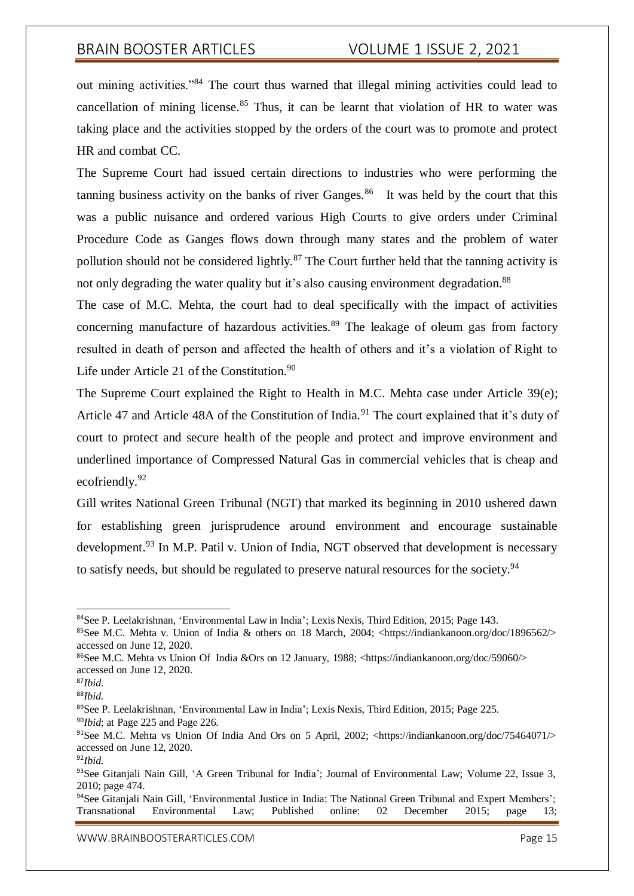out mining activities."<sup>84</sup> The court thus warned that illegal mining activities could lead to cancellation of mining license.<sup>85</sup> Thus, it can be learnt that violation of HR to water was taking place and the activities stopped by the orders of the court was to promote and protect HR and combat CC.

The Supreme Court had issued certain directions to industries who were performing the tanning business activity on the banks of river Ganges.<sup>86</sup> It was held by the court that this was a public nuisance and ordered various High Courts to give orders under Criminal Procedure Code as Ganges flows down through many states and the problem of water pollution should not be considered lightly.<sup>87</sup> The Court further held that the tanning activity is not only degrading the water quality but it's also causing environment degradation.<sup>88</sup>

The case of M.C. Mehta, the court had to deal specifically with the impact of activities concerning manufacture of hazardous activities.<sup>89</sup> The leakage of oleum gas from factory resulted in death of person and affected the health of others and it's a violation of Right to Life under Article 21 of the Constitution.<sup>90</sup>

The Supreme Court explained the Right to Health in M.C. Mehta case under Article 39(e); Article 47 and Article 48A of the Constitution of India.<sup>91</sup> The court explained that it's duty of court to protect and secure health of the people and protect and improve environment and underlined importance of Compressed Natural Gas in commercial vehicles that is cheap and ecofriendly.<sup>92</sup>

Gill writes National Green Tribunal (NGT) that marked its beginning in 2010 ushered dawn for establishing green jurisprudence around environment and encourage sustainable development.<sup>93</sup> In M.P. Patil v. Union of India, NGT observed that development is necessary to satisfy needs, but should be regulated to preserve natural resources for the society.<sup>94</sup>

<sup>84</sup>See P. Leelakrishnan, 'Environmental Law in India'; Lexis Nexis, Third Edition, 2015; Page 143.

<sup>85</sup>See M.C. Mehta v. Union of India & others on 18 March, 2004; <https://indiankanoon.org/doc/1896562/> accessed on June 12, 2020.

<sup>86</sup>See M.C. Mehta vs Union Of India &Ors on 12 January, 1988; <https://indiankanoon.org/doc/59060/> accessed on June 12, 2020.

<sup>87</sup>*Ibid*.

<sup>88</sup>*Ibid*.

<sup>89</sup>See P. Leelakrishnan, 'Environmental Law in India'; Lexis Nexis, Third Edition, 2015; Page 225. <sup>90</sup>*Ibid*; at Page 225 and Page 226.

<sup>&</sup>lt;sup>91</sup>See M.C. Mehta vs Union Of India And Ors on 5 April, 2002; <https://indiankanoon.org/doc/75464071/> accessed on June 12, 2020.

<sup>92</sup>*Ibid*.

<sup>93</sup>See Gitanjali Nain Gill, 'A Green Tribunal for India'; Journal of Environmental Law; Volume 22, Issue 3, 2010; page 474.

<sup>&</sup>lt;sup>94</sup>See Gitaniali Nain Gill, 'Environmental Justice in India: The National Green Tribunal and Expert Members'; Transnational Environmental Law; Published online: 02 December 2015; page 13;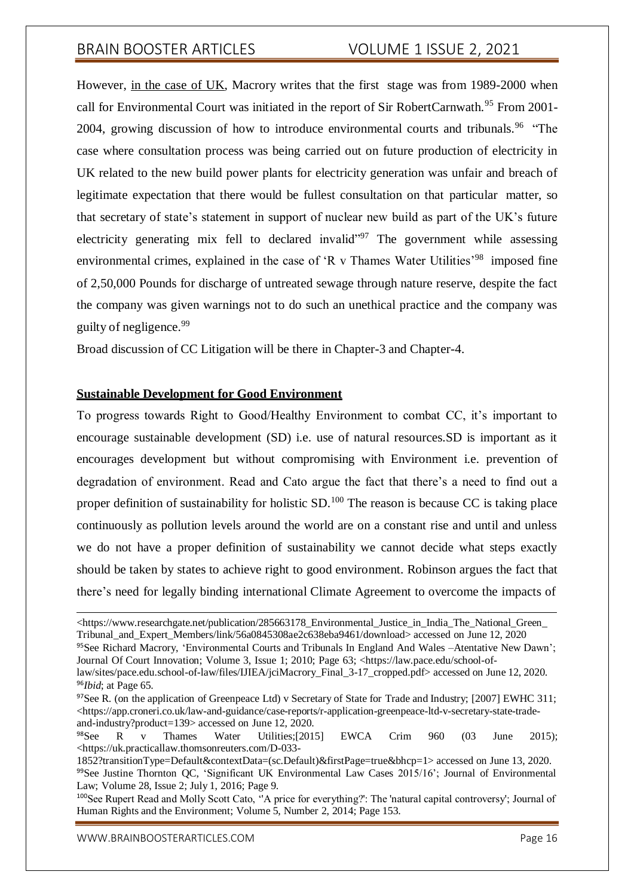However, in the case of UK, Macrory writes that the first stage was from 1989-2000 when call for Environmental Court was initiated in the report of Sir RobertCarnwath.<sup>95</sup> From 2001-2004, growing discussion of how to introduce environmental courts and tribunals.<sup>96</sup> "The case where consultation process was being carried out on future production of electricity in UK related to the new build power plants for electricity generation was unfair and breach of legitimate expectation that there would be fullest consultation on that particular matter, so that secretary of state's statement in support of nuclear new build as part of the UK's future electricity generating mix fell to declared invalid $\frac{1}{2}$ . The government while assessing environmental crimes, explained in the case of 'R v Thames Water Utilities'<sup>98</sup> imposed fine of 2,50,000 Pounds for discharge of untreated sewage through nature reserve, despite the fact the company was given warnings not to do such an unethical practice and the company was guilty of negligence.<sup>99</sup>

Broad discussion of CC Litigation will be there in Chapter-3 and Chapter-4.

## **Sustainable Development for Good Environment**

To progress towards Right to Good/Healthy Environment to combat CC, it's important to encourage sustainable development (SD) i.e. use of natural resources.SD is important as it encourages development but without compromising with Environment i.e. prevention of degradation of environment. Read and Cato argue the fact that there's a need to find out a proper definition of sustainability for holistic SD.<sup>100</sup> The reason is because CC is taking place continuously as pollution levels around the world are on a constant rise and until and unless we do not have a proper definition of sustainability we cannot decide what steps exactly should be taken by states to achieve right to good environment. Robinson argues the fact that there's need for legally binding international Climate Agreement to overcome the impacts of

<sup>95</sup>See Richard Macrory, 'Environmental Courts and Tribunals In England And Wales –Atentative New Dawn'; Journal Of Court Innovation; Volume 3, Issue 1; 2010; Page 63; <https://law.pace.edu/school-of-

<sup>&</sup>lt;https:/[/www.researchgate.net/publication/285663178\\_Environmental\\_Justice\\_in\\_India\\_The\\_National\\_Green\\_](http://www.researchgate.net/publication/285663178_Environmental_Justice_in_India_The_National_Green_) Tribunal\_and\_Expert\_Members/link/56a0845308ae2c638eba9461/download> accessed on June 12, 2020

law/sites/pace.edu.school-of-law/files/IJIEA/iciMacrory\_Final\_3-17\_cropped.pdf> accessed on June 12, 2020. <sup>96</sup>*Ibid*; at Page 65.

<sup>&</sup>lt;sup>97</sup>See R. (on the application of Greenpeace Ltd) v Secretary of State for Trade and Industry; [2007] EWHC 311;  $\langle$ https://app.croneri.co.uk/law-and-guidance/case-reports/r-application-greenpeace-ltd-v-secretary-state-tradeand-industry?product=139> accessed on June 12, 2020.

<sup>98</sup>See R v Thames Water Utilities;[2015] EWCA Crim 960 (03 June 2015); <https://uk.practicallaw.thomsonreuters.com/D-033-

<sup>1852?</sup>transitionType=Default&contextData=(sc.Default)&firstPage=true&bhcp=1> accessed on June 13, 2020. 99See Justine Thornton QC, 'Significant UK Environmental Law Cases 2015/16'; Journal of Environmental Law; Volume 28, Issue 2; July 1, 2016; Page 9.

<sup>100</sup>See Rupert Read and Molly Scott Cato, ''A price for everything?': The 'natural capital controversy'; Journal of Human Rights and the Environment; Volume 5, Number 2, 2014; Page 153.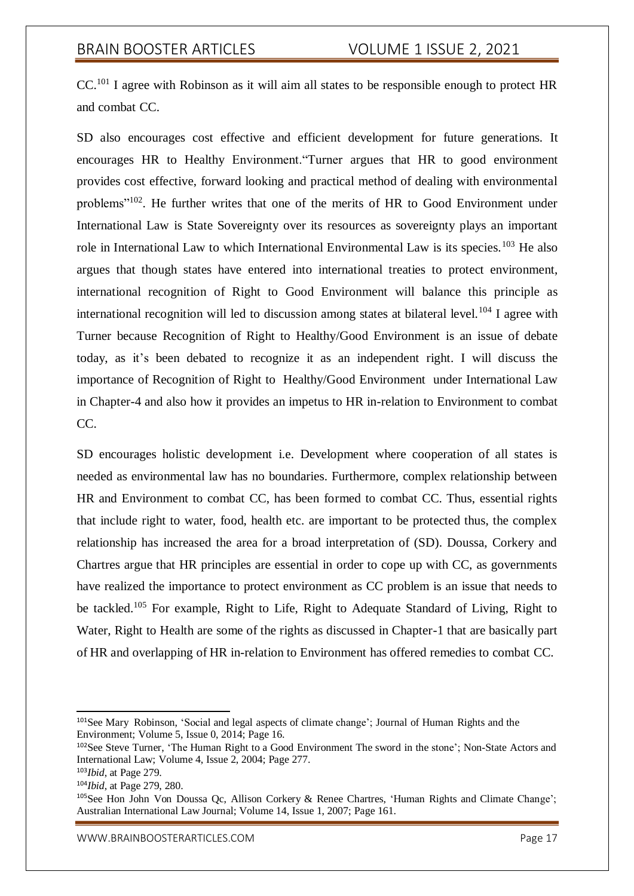CC.<sup>101</sup> I agree with Robinson as it will aim all states to be responsible enough to protect HR and combat CC.

SD also encourages cost effective and efficient development for future generations. It encourages HR to Healthy Environment."Turner argues that HR to good environment provides cost effective, forward looking and practical method of dealing with environmental problems"<sup>102</sup>. He further writes that one of the merits of HR to Good Environment under International Law is State Sovereignty over its resources as sovereignty plays an important role in International Law to which International Environmental Law is its species.<sup>103</sup> He also argues that though states have entered into international treaties to protect environment, international recognition of Right to Good Environment will balance this principle as international recognition will led to discussion among states at bilateral level.<sup>104</sup> I agree with Turner because Recognition of Right to Healthy/Good Environment is an issue of debate today, as it's been debated to recognize it as an independent right. I will discuss the importance of Recognition of Right to Healthy/Good Environment under International Law in Chapter-4 and also how it provides an impetus to HR in-relation to Environment to combat CC.

SD encourages holistic development i.e. Development where cooperation of all states is needed as environmental law has no boundaries. Furthermore, complex relationship between HR and Environment to combat CC, has been formed to combat CC. Thus, essential rights that include right to water, food, health etc. are important to be protected thus, the complex relationship has increased the area for a broad interpretation of (SD). Doussa, Corkery and Chartres argue that HR principles are essential in order to cope up with CC, as governments have realized the importance to protect environment as CC problem is an issue that needs to be tackled.<sup>105</sup> For example, Right to Life, Right to Adequate Standard of Living, Right to Water, Right to Health are some of the rights as discussed in Chapter-1 that are basically part of HR and overlapping of HR in-relation to Environment has offered remedies to combat CC.

<sup>101</sup>See Mary Robinson, 'Social and legal aspects of climate change'; Journal of Human Rights and the Environment; Volume 5, Issue 0, 2014; Page 16.

<sup>102</sup>See Steve Turner, 'The Human Right to a Good Environment The sword in the stone'; Non-State Actors and International Law; Volume 4, Issue 2, 2004; Page 277.

<sup>103</sup>*Ibid*, at Page 279.

<sup>104</sup>*Ibid*, at Page 279, 280.

<sup>105</sup>See Hon John Von Doussa Qc, Allison Corkery & Renee Chartres, 'Human Rights and Climate Change'; Australian International Law Journal; Volume 14, Issue 1, 2007; Page 161.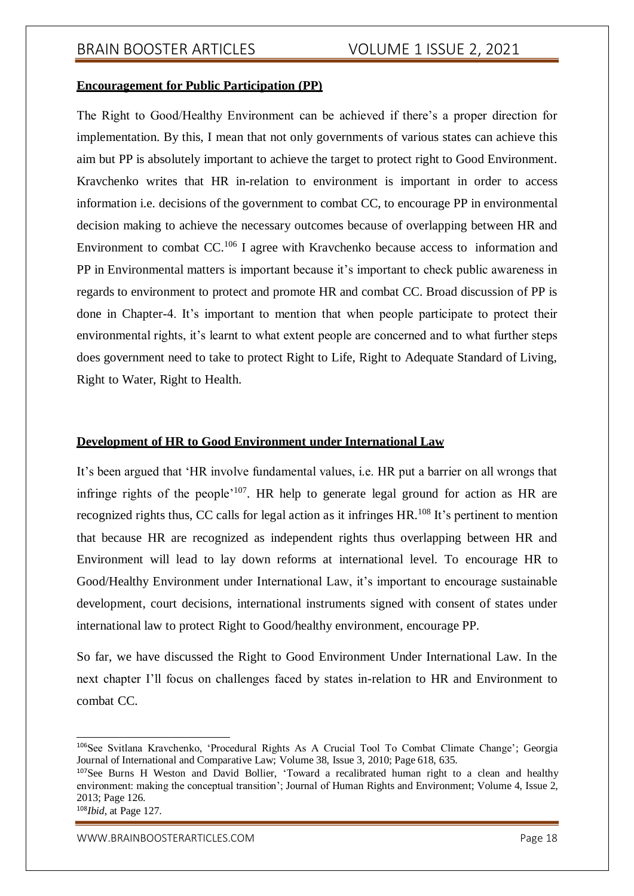### **Encouragement for Public Participation (PP)**

The Right to Good/Healthy Environment can be achieved if there's a proper direction for implementation. By this, I mean that not only governments of various states can achieve this aim but PP is absolutely important to achieve the target to protect right to Good Environment. Kravchenko writes that HR in-relation to environment is important in order to access information i.e. decisions of the government to combat CC, to encourage PP in environmental decision making to achieve the necessary outcomes because of overlapping between HR and Environment to combat CC.<sup>106</sup> I agree with Kravchenko because access to information and PP in Environmental matters is important because it's important to check public awareness in regards to environment to protect and promote HR and combat CC. Broad discussion of PP is done in Chapter-4. It's important to mention that when people participate to protect their environmental rights, it's learnt to what extent people are concerned and to what further steps does government need to take to protect Right to Life, Right to Adequate Standard of Living, Right to Water, Right to Health.

#### **Development of HR to Good Environment under International Law**

It's been argued that 'HR involve fundamental values, i.e. HR put a barrier on all wrongs that infringe rights of the people<sup>'107</sup>. HR help to generate legal ground for action as HR are recognized rights thus, CC calls for legal action as it infringes HR.<sup>108</sup> It's pertinent to mention that because HR are recognized as independent rights thus overlapping between HR and Environment will lead to lay down reforms at international level. To encourage HR to Good/Healthy Environment under International Law, it's important to encourage sustainable development, court decisions, international instruments signed with consent of states under international law to protect Right to Good/healthy environment, encourage PP.

So far, we have discussed the Right to Good Environment Under International Law. In the next chapter I'll focus on challenges faced by states in-relation to HR and Environment to combat CC.

<sup>106</sup>See Svitlana Kravchenko, 'Procedural Rights As A Crucial Tool To Combat Climate Change'; Georgia Journal of International and Comparative Law; Volume 38, Issue 3, 2010; Page 618, 635.

<sup>107</sup>See Burns H Weston and David Bollier, 'Toward a recalibrated human right to a clean and healthy environment: making the conceptual transition'; Journal of Human Rights and Environment; Volume 4, Issue 2, 2013; Page 126.

<sup>108</sup>*Ibid*, at Page 127.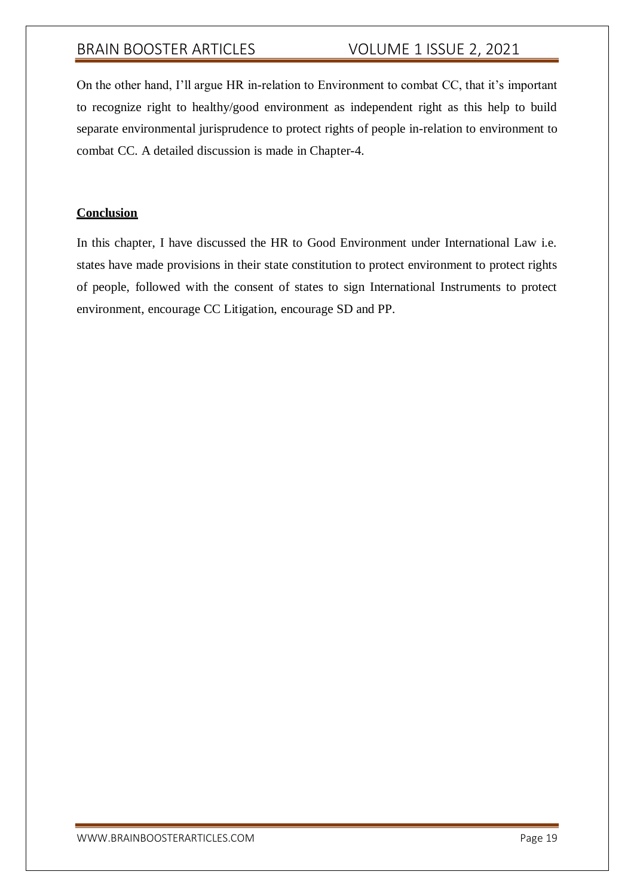On the other hand, I'll argue HR in-relation to Environment to combat CC, that it's important to recognize right to healthy/good environment as independent right as this help to build separate environmental jurisprudence to protect rights of people in-relation to environment to combat CC. A detailed discussion is made in Chapter-4.

### **Conclusion**

In this chapter, I have discussed the HR to Good Environment under International Law i.e. states have made provisions in their state constitution to protect environment to protect rights of people, followed with the consent of states to sign International Instruments to protect environment, encourage CC Litigation, encourage SD and PP.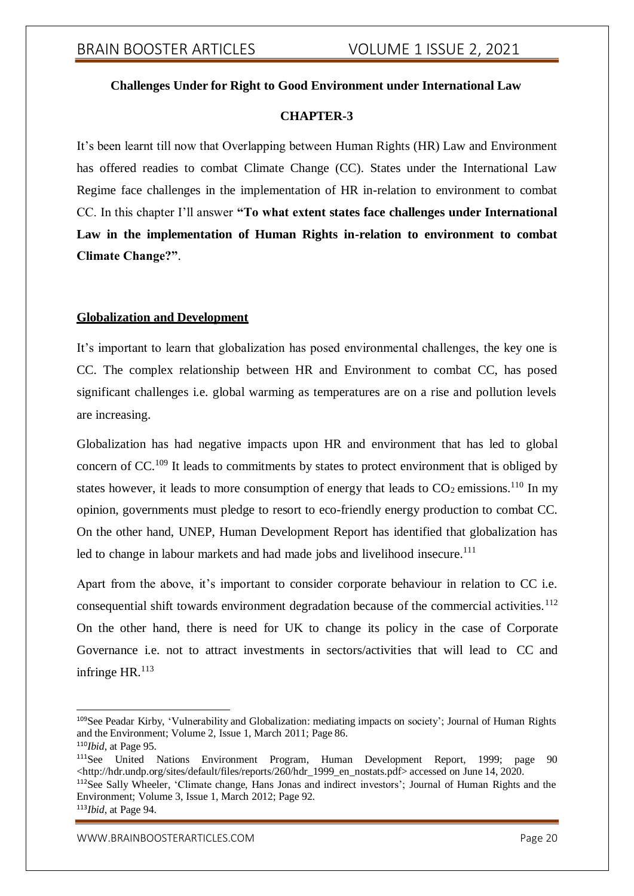## **Challenges Under for Right to Good Environment under International Law**

### **CHAPTER-3**

It's been learnt till now that Overlapping between Human Rights (HR) Law and Environment has offered readies to combat Climate Change (CC). States under the International Law Regime face challenges in the implementation of HR in-relation to environment to combat CC. In this chapter I'll answer **"To what extent states face challenges under International Law in the implementation of Human Rights in-relation to environment to combat Climate Change?"**.

### **Globalization and Development**

It's important to learn that globalization has posed environmental challenges, the key one is CC. The complex relationship between HR and Environment to combat CC, has posed significant challenges i.e. global warming as temperatures are on a rise and pollution levels are increasing.

Globalization has had negative impacts upon HR and environment that has led to global concern of  $CC$ <sup>109</sup> It leads to commitments by states to protect environment that is obliged by states however, it leads to more consumption of energy that leads to  $CO_2$  emissions.<sup>110</sup> In my opinion, governments must pledge to resort to eco-friendly energy production to combat CC. On the other hand, UNEP, Human Development Report has identified that globalization has led to change in labour markets and had made jobs and livelihood insecure.<sup>111</sup>

Apart from the above, it's important to consider corporate behaviour in relation to CC i.e. consequential shift towards environment degradation because of the commercial activities.<sup>112</sup> On the other hand, there is need for UK to change its policy in the case of Corporate Governance i.e. not to attract investments in sectors/activities that will lead to CC and infringe  $HR$ .<sup>113</sup>

<sup>109</sup>See Peadar Kirby, 'Vulnerability and Globalization: mediating impacts on society'; Journal of Human Rights and the Environment; Volume 2, Issue 1, March 2011; Page 86.

<sup>110</sup>*Ibid*, at Page 95.

<sup>111</sup>See United Nations Environment Program, Human Development Report, 1999; page 90 [<http://hdr.undp.org/sites/default/files/reports/260/hdr\\_1999\\_en\\_nostats.pdf>](http://hdr.undp.org/sites/default/files/reports/260/hdr_1999_en_nostats.pdf) accessed on June 14, 2020.

<sup>112</sup>See Sally Wheeler, 'Climate change, Hans Jonas and indirect investors'; Journal of Human Rights and the Environment; Volume 3, Issue 1, March 2012; Page 92.

<sup>113</sup>*Ibid*, at Page 94.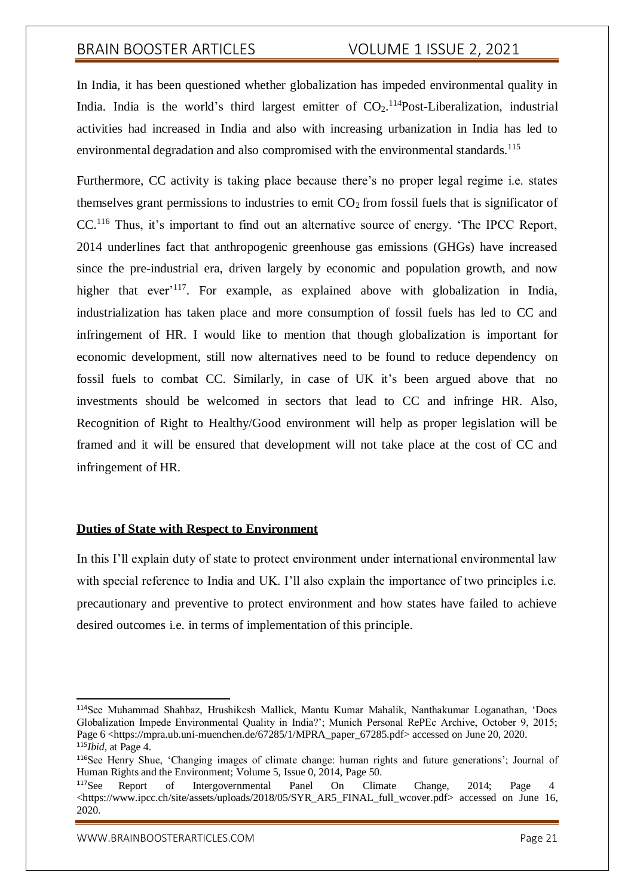In India, it has been questioned whether globalization has impeded environmental quality in India. India is the world's third largest emitter of  $CO<sub>2</sub>$ .<sup>114</sup>Post-Liberalization, industrial activities had increased in India and also with increasing urbanization in India has led to environmental degradation and also compromised with the environmental standards.<sup>115</sup>

Furthermore, CC activity is taking place because there's no proper legal regime i.e. states themselves grant permissions to industries to emit  $CO<sub>2</sub>$  from fossil fuels that is significator of CC.<sup>116</sup> Thus, it's important to find out an alternative source of energy. 'The IPCC Report, 2014 underlines fact that anthropogenic greenhouse gas emissions (GHGs) have increased since the pre-industrial era, driven largely by economic and population growth, and now higher that ever<sup>117</sup>. For example, as explained above with globalization in India, industrialization has taken place and more consumption of fossil fuels has led to CC and infringement of HR. I would like to mention that though globalization is important for economic development, still now alternatives need to be found to reduce dependency on fossil fuels to combat CC. Similarly, in case of UK it's been argued above that no investments should be welcomed in sectors that lead to CC and infringe HR. Also, Recognition of Right to Healthy/Good environment will help as proper legislation will be framed and it will be ensured that development will not take place at the cost of CC and infringement of HR.

#### **Duties of State with Respect to Environment**

In this I'll explain duty of state to protect environment under international environmental law with special reference to India and UK. I'll also explain the importance of two principles i.e. precautionary and preventive to protect environment and how states have failed to achieve desired outcomes i.e. in terms of implementation of this principle.

<sup>114</sup>See Muhammad Shahbaz, Hrushikesh Mallick, Mantu Kumar Mahalik, Nanthakumar Loganathan, 'Does Globalization Impede Environmental Quality in India?'; Munich Personal RePEc Archive, October 9, 2015; Page 6 <https://mpra.ub.uni-muenchen.de/67285/1/MPRA\_paper\_67285.pdf> accessed on June 20, 2020. <sup>115</sup>*Ibid*, at Page 4.

<sup>116</sup>See Henry Shue, 'Changing images of climate change: human rights and future generations'; Journal of Human Rights and the Environment; Volume 5, Issue 0, 2014, Page 50.

<sup>117</sup>See Report of Intergovernmental Panel On Climate Change, 2014; Page 4 <https:/[/www.ipcc.ch/site/assets/uploads/2018/05/SYR\\_AR5\\_FINAL\\_full\\_wcover.pdf>](http://www.ipcc.ch/site/assets/uploads/2018/05/SYR_AR5_FINAL_full_wcover.pdf) accessed on June 16, 2020.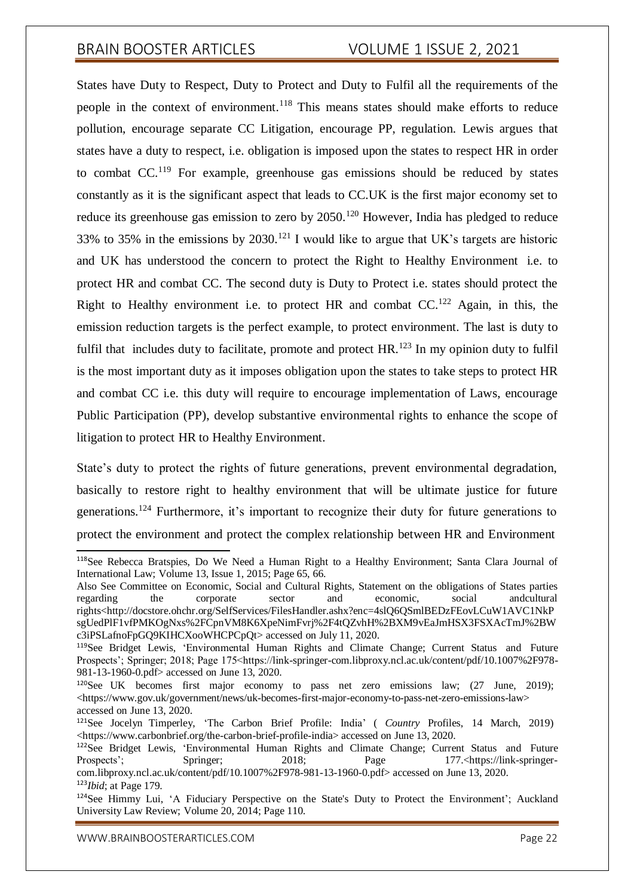States have Duty to Respect, Duty to Protect and Duty to Fulfil all the requirements of the people in the context of environment.<sup>118</sup> This means states should make efforts to reduce pollution, encourage separate CC Litigation, encourage PP, regulation. Lewis argues that states have a duty to respect, i.e. obligation is imposed upon the states to respect HR in order to combat  $CC<sup>119</sup>$  For example, greenhouse gas emissions should be reduced by states constantly as it is the significant aspect that leads to CC.UK is the first major economy set to reduce its greenhouse gas emission to zero by  $2050$ .<sup>120</sup> However, India has pledged to reduce 33% to 35% in the emissions by 2030.<sup>121</sup> I would like to argue that UK's targets are historic and UK has understood the concern to protect the Right to Healthy Environment i.e. to protect HR and combat CC. The second duty is Duty to Protect i.e. states should protect the Right to Healthy environment i.e. to protect HR and combat  $CC$ <sup>122</sup> Again, in this, the emission reduction targets is the perfect example, to protect environment. The last is duty to fulfil that includes duty to facilitate, promote and protect  $HR$ <sup>123</sup> In my opinion duty to fulfil is the most important duty as it imposes obligation upon the states to take steps to protect HR and combat CC i.e. this duty will require to encourage implementation of Laws, encourage Public Participation (PP), develop substantive environmental rights to enhance the scope of litigation to protect HR to Healthy Environment.

State's duty to protect the rights of future generations, prevent environmental degradation, basically to restore right to healthy environment that will be ultimate justice for future generations.<sup>124</sup> Furthermore, it's important to recognize their duty for future generations to protect the environment and protect the complex relationship between HR and Environment

<sup>118</sup>See Rebecca Bratspies, Do We Need a Human Right to a Healthy Environment; Santa Clara Journal of International Law; Volume 13, Issue 1, 2015; Page 65, 66.

Also See Committee on Economic, Social and Cultural Rights, Statement on the obligations of States parties regarding the corporate sector and economic, social andcultural rights[<http://docstore.ohchr.org/SelfServices/FilesHandler.ashx?enc=4slQ6QSmlBEDzFEovLCuW1AVC1NkP](http://docstore.ohchr.org/SelfServices/FilesHandler.ashx?enc=4slQ6QSmlBEDzFEovLCuW1AVC1NkP) sgUedPlF1vfPMKOgNxs%2FCpnVM8K6XpeNimFvrj%2F4tQZvhH%2BXM9vEaJmHSX3FSXAcTmJ%2BW c3iPSLafnoFpGQ9KIHCXooWHCPCpQt> accessed on July 11, 2020.

<sup>119</sup>See Bridget Lewis, 'Environmental Human Rights and Climate Change; Current Status and Future Prospects'; Springer; 2018; Page 175<https://link-springer-com.libproxy.ncl.ac.uk/content/pdf/10.1007%2F978-981-13-1960-0.pdf> accessed on June 13, 2020.

<sup>&</sup>lt;sup>120</sup>See UK becomes first major economy to pass net zero emissions law; (27 June, 2019);  $\langle$ https:/[/www.gov.uk/government/news/uk-becomes-first-major-economy-to-pass-net-zero-emissions-law>](http://www.gov.uk/government/news/uk-becomes-first-major-economy-to-pass-net-zero-emissions-law) accessed on June 13, 2020.

<sup>121</sup>See Jocelyn Timperley, 'The Carbon Brief Profile: India' ( *Country* Profiles, 14 March, 2019) <https:/[/www.carbonbrief.org/the-carbon-brief-profile-india>](http://www.carbonbrief.org/the-carbon-brief-profile-india) accessed on June 13, 2020.

<sup>&</sup>lt;sup>122</sup>See Bridget Lewis, 'Environmental Human Rights and Climate Change; Current Status and Future Prospects'; Springer; 2018; Page 177.<https://link-springercom.libproxy.ncl.ac.uk/content/pdf/10.1007%2F978-981-13-1960-0.pdf> accessed on June 13, 2020. <sup>123</sup>*Ibid*; at Page 179.

<sup>124</sup>See Himmy Lui, 'A Fiduciary Perspective on the State's Duty to Protect the Environment'; Auckland University Law Review; Volume 20, 2014; Page 110.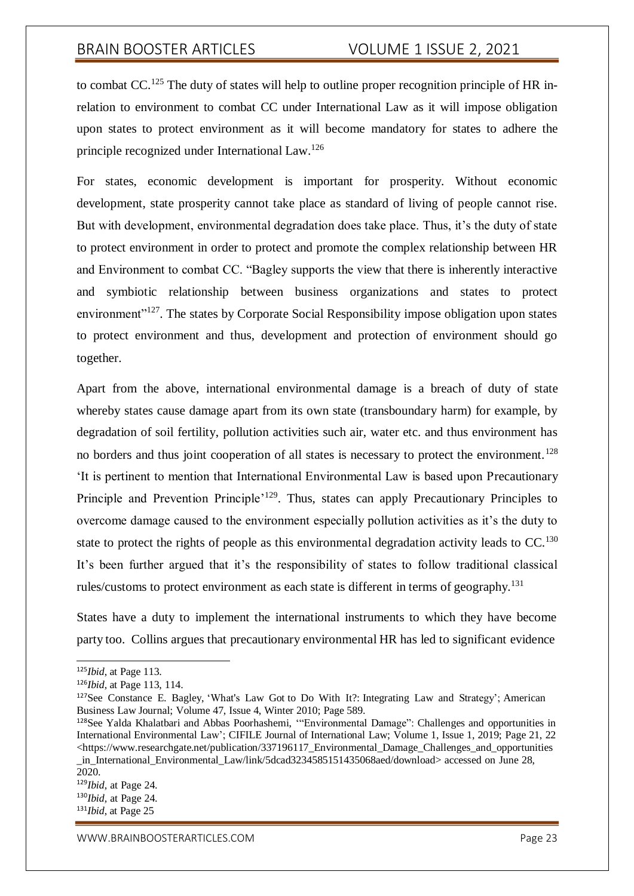to combat  $CC$ .<sup>125</sup> The duty of states will help to outline proper recognition principle of HR inrelation to environment to combat CC under International Law as it will impose obligation upon states to protect environment as it will become mandatory for states to adhere the principle recognized under International Law.<sup>126</sup>

For states, economic development is important for prosperity. Without economic development, state prosperity cannot take place as standard of living of people cannot rise. But with development, environmental degradation does take place. Thus, it's the duty of state to protect environment in order to protect and promote the complex relationship between HR and Environment to combat CC. "Bagley supports the view that there is inherently interactive and symbiotic relationship between business organizations and states to protect environment<sup>"127</sup>. The states by Corporate Social Responsibility impose obligation upon states to protect environment and thus, development and protection of environment should go together.

Apart from the above, international environmental damage is a breach of duty of state whereby states cause damage apart from its own state (transboundary harm) for example, by degradation of soil fertility, pollution activities such air, water etc. and thus environment has no borders and thus joint cooperation of all states is necessary to protect the environment.<sup>128</sup> 'It is pertinent to mention that International Environmental Law is based upon Precautionary Principle and Prevention Principle'<sup>129</sup>. Thus, states can apply Precautionary Principles to overcome damage caused to the environment especially pollution activities as it's the duty to state to protect the rights of people as this environmental degradation activity leads to  $CC$ .<sup>130</sup> It's been further argued that it's the responsibility of states to follow traditional classical rules/customs to protect environment as each state is different in terms of geography.<sup>131</sup>

States have a duty to implement the international instruments to which they have become party too. Collins argues that precautionary environmental HR has led to significant evidence

<sup>125</sup>*Ibid*, at Page 113.

<sup>126</sup>*Ibid*, at Page 113, 114.

<sup>127</sup>See Constance E. Bagley, 'What's Law Got to Do With It?: Integrating Law and Strategy'; American Business Law Journal; Volume 47, Issue 4, Winter 2010; Page 589.

<sup>128</sup>See Yalda Khalatbari and Abbas Poorhashemi, '"Environmental Damage": Challenges and opportunities in International Environmental Law'; CIFILE Journal of International Law; Volume 1, Issue 1, 2019; Page 21, 22  $\lt$ https:/[/www.researchgate.net/publication/337196117\\_Environmental\\_Damage\\_Challenges\\_and\\_opportunities](http://www.researchgate.net/publication/337196117_Environmental_Damage_Challenges_and_opportunities) \_in\_International\_Environmental\_Law/link/5dcad3234585151435068aed/download> accessed on June 28, 2020.

<sup>129</sup>*Ibid*, at Page 24.

<sup>130</sup>*Ibid,* at Page 24.

<sup>131</sup>*Ibid*, at Page 25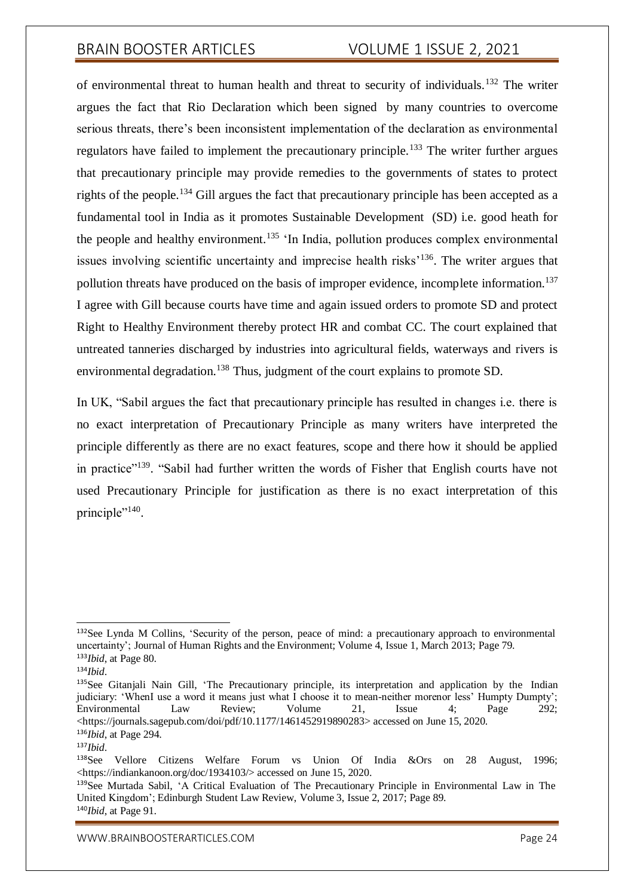of environmental threat to human health and threat to security of individuals.<sup>132</sup> The writer argues the fact that Rio Declaration which been signed by many countries to overcome serious threats, there's been inconsistent implementation of the declaration as environmental regulators have failed to implement the precautionary principle.<sup>133</sup> The writer further argues that precautionary principle may provide remedies to the governments of states to protect rights of the people.<sup>134</sup> Gill argues the fact that precautionary principle has been accepted as a fundamental tool in India as it promotes Sustainable Development (SD) i.e. good heath for the people and healthy environment.<sup>135</sup>  $\cdot$ In India, pollution produces complex environmental issues involving scientific uncertainty and imprecise health risks'<sup>136</sup>. The writer argues that pollution threats have produced on the basis of improper evidence, incomplete information.<sup>137</sup> I agree with Gill because courts have time and again issued orders to promote SD and protect Right to Healthy Environment thereby protect HR and combat CC. The court explained that untreated tanneries discharged by industries into agricultural fields, waterways and rivers is environmental degradation.<sup>138</sup> Thus, judgment of the court explains to promote SD.

In UK, "Sabil argues the fact that precautionary principle has resulted in changes i.e. there is no exact interpretation of Precautionary Principle as many writers have interpreted the principle differently as there are no exact features, scope and there how it should be applied in practice"<sup>139</sup>. "Sabil had further written the words of Fisher that English courts have not used Precautionary Principle for justification as there is no exact interpretation of this principle"<sup>140</sup>.

<sup>132</sup>See Lynda M Collins, 'Security of the person, peace of mind: a precautionary approach to environmental uncertainty'; Journal of Human Rights and the Environment; Volume 4, Issue 1, March 2013; Page 79. <sup>133</sup>*Ibid*, at Page 80.

<sup>134</sup>*Ibid*.

<sup>135</sup>See Gitanjali Nain Gill, 'The Precautionary principle, its interpretation and application by the Indian judiciary: 'WhenI use a word it means just what I choose it to mean-neither morenor less' Humpty Dumpty'; Environmental Law Review; Volume 21, Issue 4; Page 292; <https://journals.sagepub.com/doi/pdf/10.1177/1461452919890283> accessed on June 15, 2020. <sup>136</sup>*Ibid*, at Page 294.

<sup>137</sup>*Ibid*.

<sup>138</sup>See Vellore Citizens Welfare Forum vs Union Of India &Ors on 28 August, 1996; <https://indiankanoon.org/doc/1934103/> accessed on June 15, 2020.

<sup>139</sup>See Murtada Sabil, 'A Critical Evaluation of The Precautionary Principle in Environmental Law in The United Kingdom'; Edinburgh Student Law Review, Volume 3, Issue 2, 2017; Page 89. <sup>140</sup>*Ibid*, at Page 91.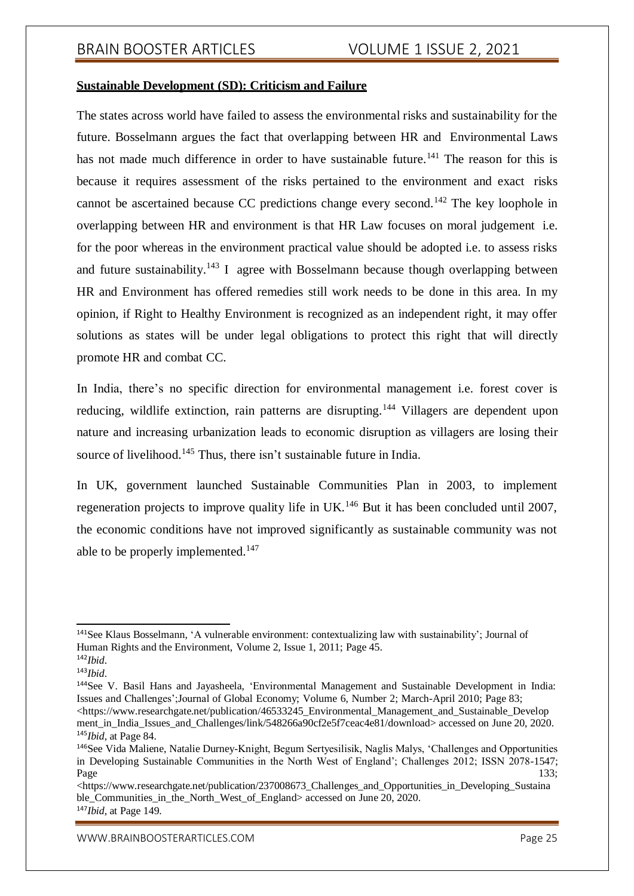### **Sustainable Development (SD): Criticism and Failure**

The states across world have failed to assess the environmental risks and sustainability for the future. Bosselmann argues the fact that overlapping between HR and Environmental Laws has not made much difference in order to have sustainable future.<sup>141</sup> The reason for this is because it requires assessment of the risks pertained to the environment and exact risks cannot be ascertained because CC predictions change every second.<sup>142</sup> The key loophole in overlapping between HR and environment is that HR Law focuses on moral judgement i.e. for the poor whereas in the environment practical value should be adopted i.e. to assess risks and future sustainability.<sup>143</sup> I agree with Bosselmann because though overlapping between HR and Environment has offered remedies still work needs to be done in this area. In my opinion, if Right to Healthy Environment is recognized as an independent right, it may offer solutions as states will be under legal obligations to protect this right that will directly promote HR and combat CC.

In India, there's no specific direction for environmental management i.e. forest cover is reducing, wildlife extinction, rain patterns are disrupting.<sup>144</sup> Villagers are dependent upon nature and increasing urbanization leads to economic disruption as villagers are losing their source of livelihood.<sup>145</sup> Thus, there isn't sustainable future in India.

In UK, government launched Sustainable Communities Plan in 2003, to implement regeneration projects to improve quality life in  $UK<sup>146</sup>$  But it has been concluded until 2007. the economic conditions have not improved significantly as sustainable community was not able to be properly implemented.<sup>147</sup>

<sup>141</sup>See Klaus Bosselmann, 'A vulnerable environment: contextualizing law with sustainability'; Journal of Human Rights and the Environment, Volume 2, Issue 1, 2011; Page 45.

<sup>142</sup>*Ibid*.

<sup>143</sup>*Ibid*.

<sup>144</sup>See V. Basil Hans and Jayasheela, 'Environmental Management and Sustainable Development in India: Issues and Challenges';Journal of Global Economy; Volume 6, Number 2; March-April 2010; Page 83; <https:/[/www.researchgate.net/publication/46533245\\_Environmental\\_Management\\_and\\_Sustainable\\_Develop](http://www.researchgate.net/publication/46533245_Environmental_Management_and_Sustainable_Develop) ment in India Issues and Challenges/link/548266a90cf2e5f7ceac4e81/download> accessed on June 20, 2020. <sup>145</sup>*Ibid*, at Page 84.

<sup>146</sup>See Vida Maliene, Natalie Durney-Knight, Begum Sertyesilisik, Naglis Malys, 'Challenges and Opportunities in Developing Sustainable Communities in the North West of England'; Challenges 2012; ISSN 2078-1547;  $Page$  133;

<sup>&</sup>lt;https:/[/www.researchgate.net/publication/237008673\\_Challenges\\_and\\_Opportunities\\_in\\_Developing\\_Sustaina](http://www.researchgate.net/publication/237008673_Challenges_and_Opportunities_in_Developing_Sustaina) ble\_Communities\_in\_the\_North\_West\_of\_England> accessed on June 20, 2020. <sup>147</sup>*Ibid*, at Page 149.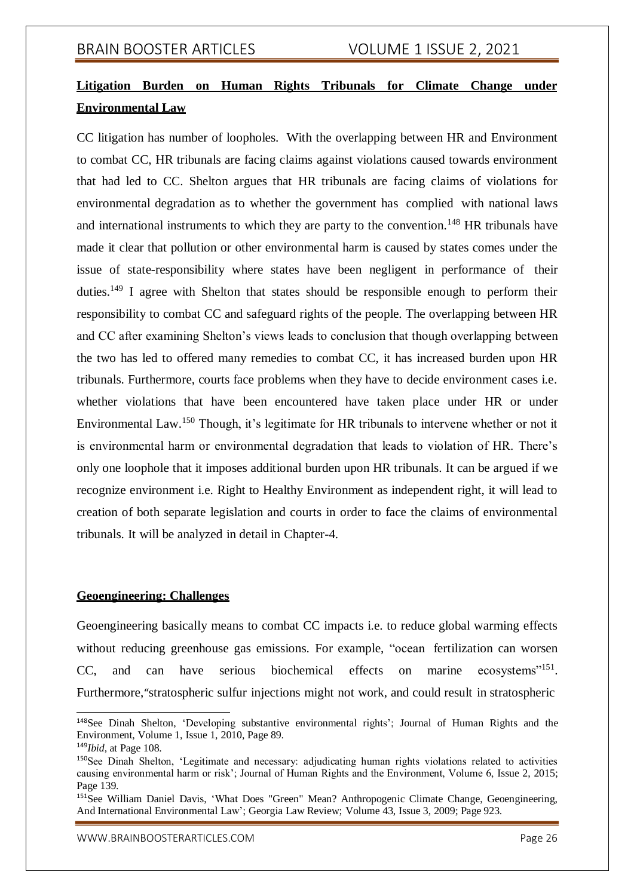# **Litigation Burden on Human Rights Tribunals for Climate Change under Environmental Law**

CC litigation has number of loopholes. With the overlapping between HR and Environment to combat CC, HR tribunals are facing claims against violations caused towards environment that had led to CC. Shelton argues that HR tribunals are facing claims of violations for environmental degradation as to whether the government has complied with national laws and international instruments to which they are party to the convention.<sup>148</sup> HR tribunals have made it clear that pollution or other environmental harm is caused by states comes under the issue of state-responsibility where states have been negligent in performance of their duties.<sup>149</sup> I agree with Shelton that states should be responsible enough to perform their responsibility to combat CC and safeguard rights of the people. The overlapping between HR and CC after examining Shelton's views leads to conclusion that though overlapping between the two has led to offered many remedies to combat CC, it has increased burden upon HR tribunals. Furthermore, courts face problems when they have to decide environment cases i.e. whether violations that have been encountered have taken place under HR or under Environmental Law.<sup>150</sup> Though, it's legitimate for HR tribunals to intervene whether or not it is environmental harm or environmental degradation that leads to violation of HR. There's only one loophole that it imposes additional burden upon HR tribunals. It can be argued if we recognize environment i.e. Right to Healthy Environment as independent right, it will lead to creation of both separate legislation and courts in order to face the claims of environmental tribunals. It will be analyzed in detail in Chapter-4.

## **Geoengineering: Challenges**

Geoengineering basically means to combat CC impacts i.e. to reduce global warming effects without reducing greenhouse gas emissions. For example, "ocean fertilization can worsen CC, and can have serious biochemical effects on marine ecosystems"<sup>151</sup>. Furthermore,"stratospheric sulfur injections might not work, and could result in stratospheric

<sup>148</sup>See Dinah Shelton, 'Developing substantive environmental rights'; Journal of Human Rights and the Environment, Volume 1, Issue 1, 2010, Page 89.

<sup>149</sup>*Ibid*, at Page 108.

<sup>150</sup>See Dinah Shelton, 'Legitimate and necessary: adjudicating human rights violations related to activities causing environmental harm or risk'; Journal of Human Rights and the Environment, Volume 6, Issue 2, 2015; Page 139.

<sup>151</sup>See William Daniel Davis, 'What Does "Green" Mean? Anthropogenic Climate Change, Geoengineering, And International Environmental Law'; Georgia Law Review; Volume 43, Issue 3, 2009; Page 923.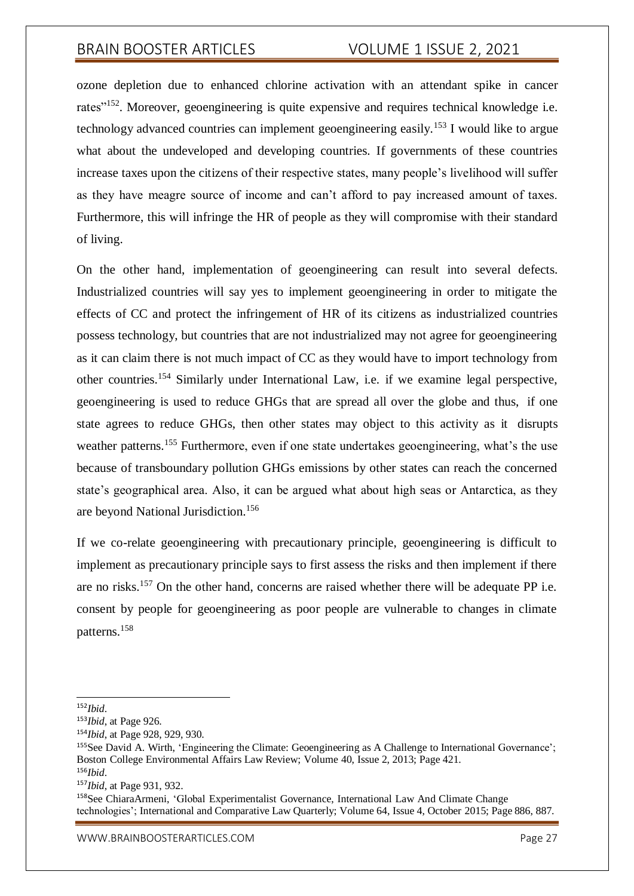ozone depletion due to enhanced chlorine activation with an attendant spike in cancer rates<sup>"152</sup>. Moreover, geoengineering is quite expensive and requires technical knowledge i.e. technology advanced countries can implement geoengineering easily.<sup>153</sup> I would like to argue what about the undeveloped and developing countries. If governments of these countries increase taxes upon the citizens of their respective states, many people's livelihood will suffer as they have meagre source of income and can't afford to pay increased amount of taxes. Furthermore, this will infringe the HR of people as they will compromise with their standard of living.

On the other hand, implementation of geoengineering can result into several defects. Industrialized countries will say yes to implement geoengineering in order to mitigate the effects of CC and protect the infringement of HR of its citizens as industrialized countries possess technology, but countries that are not industrialized may not agree for geoengineering as it can claim there is not much impact of CC as they would have to import technology from other countries.<sup>154</sup> Similarly under International Law, i.e. if we examine legal perspective, geoengineering is used to reduce GHGs that are spread all over the globe and thus, if one state agrees to reduce GHGs, then other states may object to this activity as it disrupts weather patterns.<sup>155</sup> Furthermore, even if one state undertakes geoengineering, what's the use because of transboundary pollution GHGs emissions by other states can reach the concerned state's geographical area. Also, it can be argued what about high seas or Antarctica, as they are beyond National Jurisdiction.<sup>156</sup>

If we co-relate geoengineering with precautionary principle, geoengineering is difficult to implement as precautionary principle says to first assess the risks and then implement if there are no risks.<sup>157</sup> On the other hand, concerns are raised whether there will be adequate PP i.e. consent by people for geoengineering as poor people are vulnerable to changes in climate patterns.<sup>158</sup>

<sup>152</sup>*Ibid*.

<sup>153</sup>*Ibid*, at Page 926.

<sup>154</sup>*Ibid*, at Page 928, 929, 930.

<sup>155</sup>See David A. Wirth, 'Engineering the Climate: Geoengineering as A Challenge to International Governance'; Boston College Environmental Affairs Law Review; Volume 40, Issue 2, 2013; Page 421. <sup>156</sup>*Ibid*.

<sup>157</sup>*Ibid*, at Page 931, 932.

<sup>158</sup>See ChiaraArmeni, 'Global Experimentalist Governance, International Law And Climate Change technologies'; International and Comparative Law Quarterly; Volume 64, Issue 4, October 2015; Page 886, 887.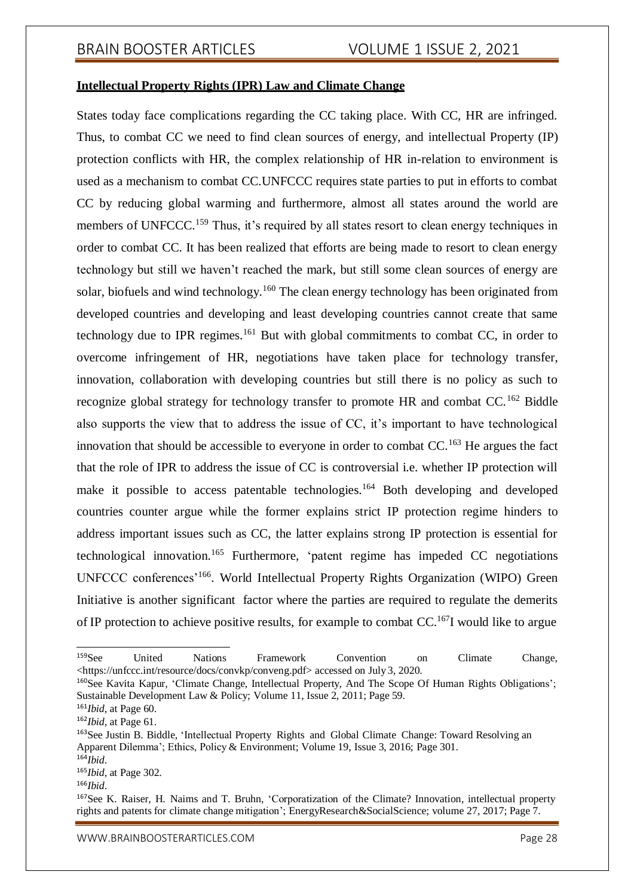### **Intellectual Property Rights (IPR) Law and Climate Change**

States today face complications regarding the CC taking place. With CC, HR are infringed. Thus, to combat CC we need to find clean sources of energy, and intellectual Property (IP) protection conflicts with HR, the complex relationship of HR in-relation to environment is used as a mechanism to combat CC.UNFCCC requires state parties to put in efforts to combat CC by reducing global warming and furthermore, almost all states around the world are members of UNFCCC.<sup>159</sup> Thus, it's required by all states resort to clean energy techniques in order to combat CC. It has been realized that efforts are being made to resort to clean energy technology but still we haven't reached the mark, but still some clean sources of energy are solar, biofuels and wind technology.<sup>160</sup> The clean energy technology has been originated from developed countries and developing and least developing countries cannot create that same technology due to IPR regimes.<sup>161</sup> But with global commitments to combat CC, in order to overcome infringement of HR, negotiations have taken place for technology transfer, innovation, collaboration with developing countries but still there is no policy as such to recognize global strategy for technology transfer to promote HR and combat CC.<sup>162</sup> Biddle also supports the view that to address the issue of CC, it's important to have technological innovation that should be accessible to everyone in order to combat  $CC$ .<sup>163</sup> He argues the fact that the role of IPR to address the issue of CC is controversial i.e. whether IP protection will make it possible to access patentable technologies.<sup>164</sup> Both developing and developed countries counter argue while the former explains strict IP protection regime hinders to address important issues such as CC, the latter explains strong IP protection is essential for technological innovation.<sup>165</sup> Furthermore, 'patent regime has impeded CC negotiations UNFCCC conferences'<sup>166</sup>. World Intellectual Property Rights Organization (WIPO) Green Initiative is another significant factor where the parties are required to regulate the demerits of IP protection to achieve positive results, for example to combat CC.<sup>167</sup>I would like to argue

<sup>164</sup>*Ibid*.

<sup>&</sup>lt;sup>159</sup>See United Nations Framework Convention on Climate Change, <https://unfccc.int/resource/docs/convkp/conveng.pdf> accessed on July 3, 2020.

<sup>160</sup>See Kavita Kapur, 'Climate Change, Intellectual Property, And The Scope Of Human Rights Obligations'; Sustainable Development Law & Policy; Volume 11, Issue 2, 2011; Page 59.

<sup>161</sup>*Ibid*, at Page 60.

<sup>162</sup>*Ibid*, at Page 61.

<sup>163</sup>See Justin B. Biddle, 'Intellectual Property Rights and Global Climate Change: Toward Resolving an Apparent Dilemma'; Ethics, Policy & Environment; Volume 19, Issue 3, 2016; Page 301.

<sup>165</sup>*Ibid*, at Page 302.

<sup>166</sup>*Ibid*.

<sup>167</sup>See K. Raiser, H. Naims and T. Bruhn, 'Corporatization of the Climate? Innovation, intellectual property rights and patents for climate change mitigation'; EnergyResearch&SocialScience; volume 27, 2017; Page 7.